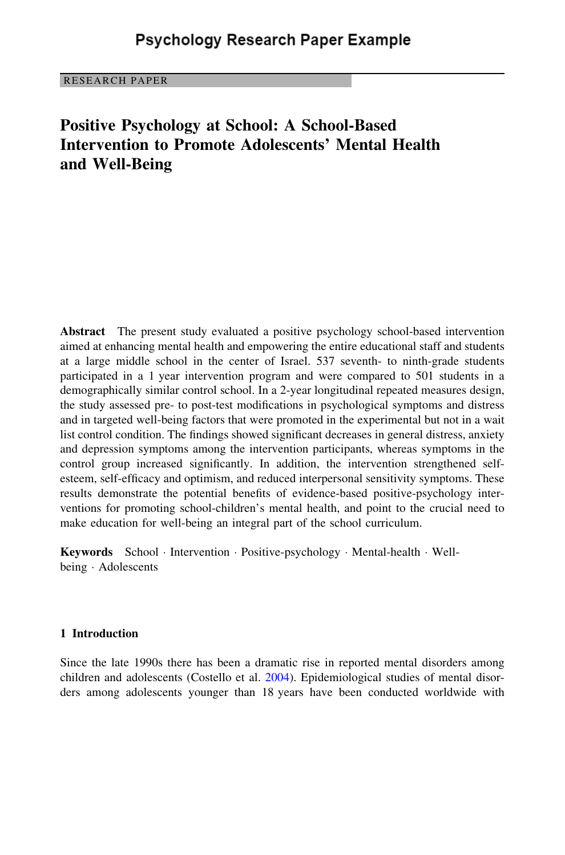RESEARCH PAPER

# Positive Psychology at School: A School-Based Intervention to Promote Adolescents' Mental Health and Well-Being

Abstract The present study evaluated a positive psychology school-based intervention aimed at enhancing mental health and empowering the entire educational staff and students at a large middle school in the center of Israel. 537 seventh- to ninth-grade students participated in a 1 year intervention program and were compared to 501 students in a demographically similar control school. In a 2-year longitudinal repeated measures design, the study assessed pre- to post-test modifications in psychological symptoms and distress and in targeted well-being factors that were promoted in the experimental but not in a wait list control condition. The findings showed significant decreases in general distress, anxiety and depression symptoms among the intervention participants, whereas symptoms in the control group increased significantly. In addition, the intervention strengthened selfesteem, self-efficacy and optimism, and reduced interpersonal sensitivity symptoms. These results demonstrate the potential benefits of evidence-based positive-psychology interventions for promoting school-children's mental health, and point to the crucial need to make education for well-being an integral part of the school curriculum.

Keywords School · Intervention · Positive-psychology · Mental-health · Wellbeing - Adolescents

# 1 Introduction

Since the late 1990s there has been a dramatic rise in reported mental disorders among children and adolescents (Costello et al. [2004](#page-19-0)). Epidemiological studies of mental disorders among adolescents younger than 18 years have been conducted worldwide with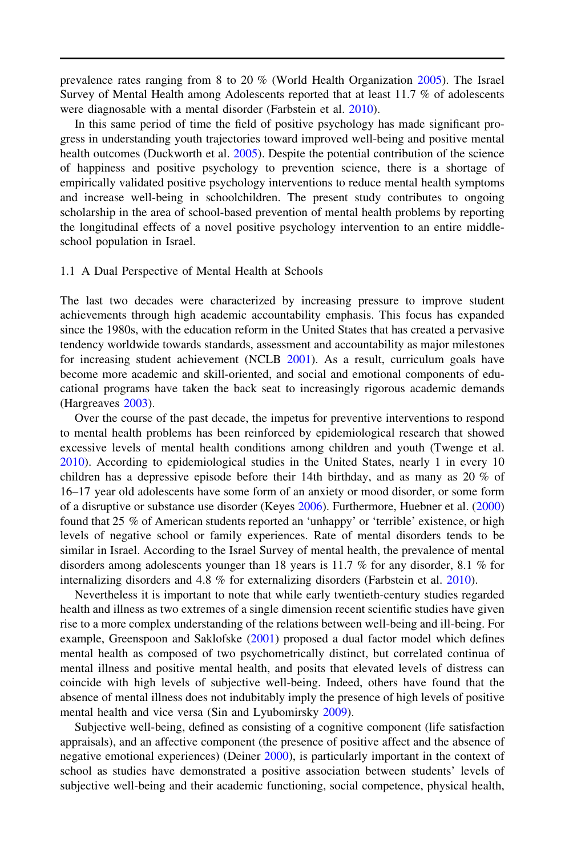prevalence rates ranging from 8 to 20 % (World Health Organization [2005\)](#page-22-0). The Israel Survey of Mental Health among Adolescents reported that at least 11.7 % of adolescents were diagnosable with a mental disorder (Farbstein et al. [2010](#page-19-0)).

In this same period of time the field of positive psychology has made significant progress in understanding youth trajectories toward improved well-being and positive mental health outcomes (Duckworth et al. [2005\)](#page-19-0). Despite the potential contribution of the science of happiness and positive psychology to prevention science, there is a shortage of empirically validated positive psychology interventions to reduce mental health symptoms and increase well-being in schoolchildren. The present study contributes to ongoing scholarship in the area of school-based prevention of mental health problems by reporting the longitudinal effects of a novel positive psychology intervention to an entire middleschool population in Israel.

### 1.1 A Dual Perspective of Mental Health at Schools

The last two decades were characterized by increasing pressure to improve student achievements through high academic accountability emphasis. This focus has expanded since the 1980s, with the education reform in the United States that has created a pervasive tendency worldwide towards standards, assessment and accountability as major milestones for increasing student achievement (NCLB [2001](#page-21-0)). As a result, curriculum goals have become more academic and skill-oriented, and social and emotional components of educational programs have taken the back seat to increasingly rigorous academic demands (Hargreaves [2003](#page-20-0)).

Over the course of the past decade, the impetus for preventive interventions to respond to mental health problems has been reinforced by epidemiological research that showed excessive levels of mental health conditions among children and youth (Twenge et al. [2010\)](#page-21-0). According to epidemiological studies in the United States, nearly 1 in every 10 children has a depressive episode before their 14th birthday, and as many as 20 % of 16–17 year old adolescents have some form of an anxiety or mood disorder, or some form of a disruptive or substance use disorder (Keyes [2006\)](#page-20-0). Furthermore, Huebner et al. ([2000](#page-20-0)) found that 25 % of American students reported an 'unhappy' or 'terrible' existence, or high levels of negative school or family experiences. Rate of mental disorders tends to be similar in Israel. According to the Israel Survey of mental health, the prevalence of mental disorders among adolescents younger than 18 years is 11.7 % for any disorder, 8.1 % for internalizing disorders and 4.8 % for externalizing disorders (Farbstein et al. [2010\)](#page-19-0).

Nevertheless it is important to note that while early twentieth-century studies regarded health and illness as two extremes of a single dimension recent scientific studies have given rise to a more complex understanding of the relations between well-being and ill-being. For example, Greenspoon and Saklofske [\(2001](#page-20-0)) proposed a dual factor model which defines mental health as composed of two psychometrically distinct, but correlated continua of mental illness and positive mental health, and posits that elevated levels of distress can coincide with high levels of subjective well-being. Indeed, others have found that the absence of mental illness does not indubitably imply the presence of high levels of positive mental health and vice versa (Sin and Lyubomirsky [2009](#page-21-0)).

Subjective well-being, defined as consisting of a cognitive component (life satisfaction appraisals), and an affective component (the presence of positive affect and the absence of negative emotional experiences) (Deiner [2000\)](#page-19-0), is particularly important in the context of school as studies have demonstrated a positive association between students' levels of subjective well-being and their academic functioning, social competence, physical health,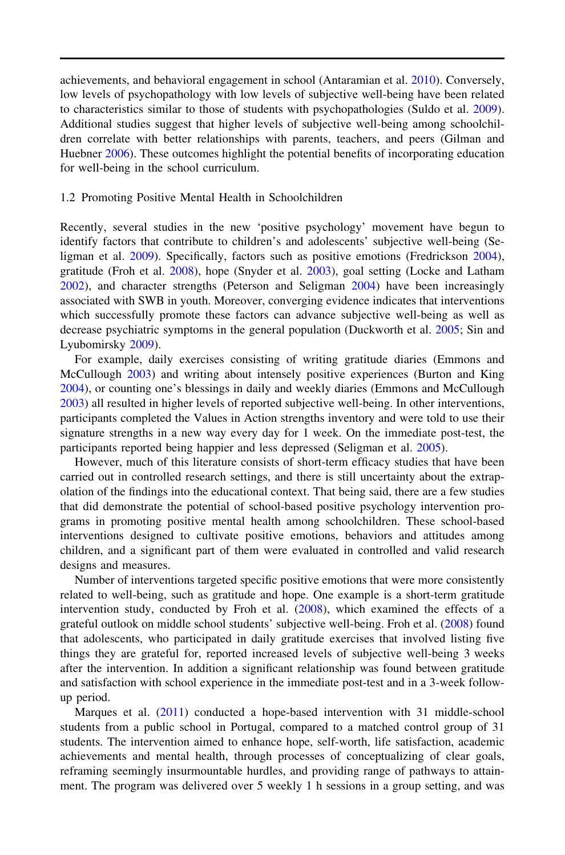achievements, and behavioral engagement in school (Antaramian et al. [2010\)](#page-19-0). Conversely, low levels of psychopathology with low levels of subjective well-being have been related to characteristics similar to those of students with psychopathologies (Suldo et al. [2009](#page-21-0)). Additional studies suggest that higher levels of subjective well-being among schoolchildren correlate with better relationships with parents, teachers, and peers (Gilman and Huebner [2006\)](#page-20-0). These outcomes highlight the potential benefits of incorporating education for well-being in the school curriculum.

### 1.2 Promoting Positive Mental Health in Schoolchildren

Recently, several studies in the new 'positive psychology' movement have begun to identify factors that contribute to children's and adolescents' subjective well-being (Seligman et al. [2009\)](#page-21-0). Specifically, factors such as positive emotions (Fredrickson [2004](#page-20-0)), gratitude (Froh et al. [2008\)](#page-20-0), hope (Snyder et al. [2003\)](#page-21-0), goal setting (Locke and Latham [2002\)](#page-20-0), and character strengths (Peterson and Seligman [2004](#page-21-0)) have been increasingly associated with SWB in youth. Moreover, converging evidence indicates that interventions which successfully promote these factors can advance subjective well-being as well as decrease psychiatric symptoms in the general population (Duckworth et al. [2005;](#page-19-0) Sin and Lyubomirsky [2009\)](#page-21-0).

For example, daily exercises consisting of writing gratitude diaries (Emmons and McCullough [2003\)](#page-19-0) and writing about intensely positive experiences (Burton and King [2004\)](#page-19-0), or counting one's blessings in daily and weekly diaries (Emmons and McCullough [2003\)](#page-19-0) all resulted in higher levels of reported subjective well-being. In other interventions, participants completed the Values in Action strengths inventory and were told to use their signature strengths in a new way every day for 1 week. On the immediate post-test, the participants reported being happier and less depressed (Seligman et al. [2005](#page-21-0)).

However, much of this literature consists of short-term efficacy studies that have been carried out in controlled research settings, and there is still uncertainty about the extrapolation of the findings into the educational context. That being said, there are a few studies that did demonstrate the potential of school-based positive psychology intervention programs in promoting positive mental health among schoolchildren. These school-based interventions designed to cultivate positive emotions, behaviors and attitudes among children, and a significant part of them were evaluated in controlled and valid research designs and measures.

Number of interventions targeted specific positive emotions that were more consistently related to well-being, such as gratitude and hope. One example is a short-term gratitude intervention study, conducted by Froh et al. [\(2008](#page-20-0)), which examined the effects of a grateful outlook on middle school students' subjective well-being. Froh et al. ([2008\)](#page-20-0) found that adolescents, who participated in daily gratitude exercises that involved listing five things they are grateful for, reported increased levels of subjective well-being 3 weeks after the intervention. In addition a significant relationship was found between gratitude and satisfaction with school experience in the immediate post-test and in a 3-week followup period.

Marques et al. ([2011\)](#page-20-0) conducted a hope-based intervention with 31 middle-school students from a public school in Portugal, compared to a matched control group of 31 students. The intervention aimed to enhance hope, self-worth, life satisfaction, academic achievements and mental health, through processes of conceptualizing of clear goals, reframing seemingly insurmountable hurdles, and providing range of pathways to attainment. The program was delivered over 5 weekly 1 h sessions in a group setting, and was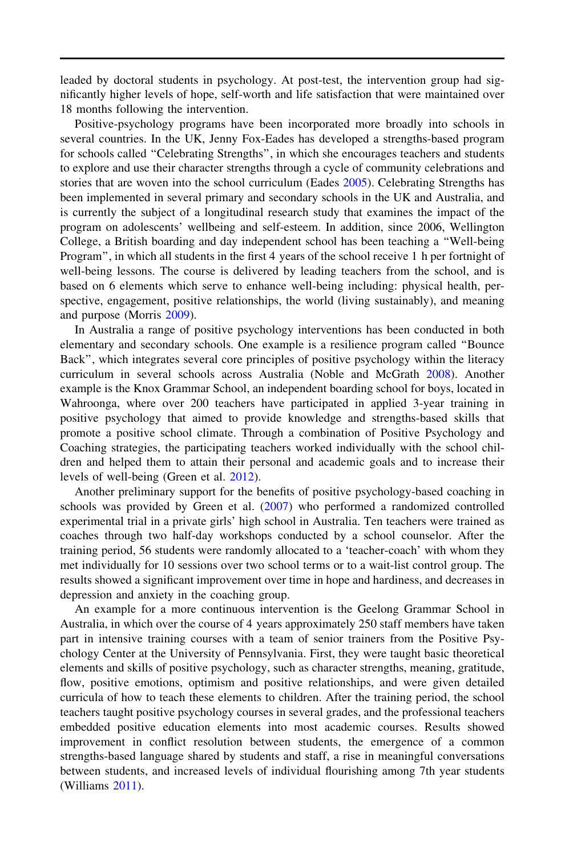leaded by doctoral students in psychology. At post-test, the intervention group had significantly higher levels of hope, self-worth and life satisfaction that were maintained over 18 months following the intervention.

Positive-psychology programs have been incorporated more broadly into schools in several countries. In the UK, Jenny Fox-Eades has developed a strengths-based program for schools called ''Celebrating Strengths'', in which she encourages teachers and students to explore and use their character strengths through a cycle of community celebrations and stories that are woven into the school curriculum (Eades [2005\)](#page-19-0). Celebrating Strengths has been implemented in several primary and secondary schools in the UK and Australia, and is currently the subject of a longitudinal research study that examines the impact of the program on adolescents' wellbeing and self-esteem. In addition, since 2006, Wellington College, a British boarding and day independent school has been teaching a ''Well-being Program'', in which all students in the first 4 years of the school receive 1 h per fortnight of well-being lessons. The course is delivered by leading teachers from the school, and is based on 6 elements which serve to enhance well-being including: physical health, perspective, engagement, positive relationships, the world (living sustainably), and meaning and purpose (Morris [2009\)](#page-20-0).

In Australia a range of positive psychology interventions has been conducted in both elementary and secondary schools. One example is a resilience program called ''Bounce Back'', which integrates several core principles of positive psychology within the literacy curriculum in several schools across Australia (Noble and McGrath [2008\)](#page-21-0). Another example is the Knox Grammar School, an independent boarding school for boys, located in Wahroonga, where over 200 teachers have participated in applied 3-year training in positive psychology that aimed to provide knowledge and strengths-based skills that promote a positive school climate. Through a combination of Positive Psychology and Coaching strategies, the participating teachers worked individually with the school children and helped them to attain their personal and academic goals and to increase their levels of well-being (Green et al. [2012\)](#page-20-0).

Another preliminary support for the benefits of positive psychology-based coaching in schools was provided by Green et al. ([2007\)](#page-20-0) who performed a randomized controlled experimental trial in a private girls' high school in Australia. Ten teachers were trained as coaches through two half-day workshops conducted by a school counselor. After the training period, 56 students were randomly allocated to a 'teacher-coach' with whom they met individually for 10 sessions over two school terms or to a wait-list control group. The results showed a significant improvement over time in hope and hardiness, and decreases in depression and anxiety in the coaching group.

An example for a more continuous intervention is the Geelong Grammar School in Australia, in which over the course of 4 years approximately 250 staff members have taken part in intensive training courses with a team of senior trainers from the Positive Psychology Center at the University of Pennsylvania. First, they were taught basic theoretical elements and skills of positive psychology, such as character strengths, meaning, gratitude, flow, positive emotions, optimism and positive relationships, and were given detailed curricula of how to teach these elements to children. After the training period, the school teachers taught positive psychology courses in several grades, and the professional teachers embedded positive education elements into most academic courses. Results showed improvement in conflict resolution between students, the emergence of a common strengths-based language shared by students and staff, a rise in meaningful conversations between students, and increased levels of individual flourishing among 7th year students (Williams [2011\)](#page-22-0).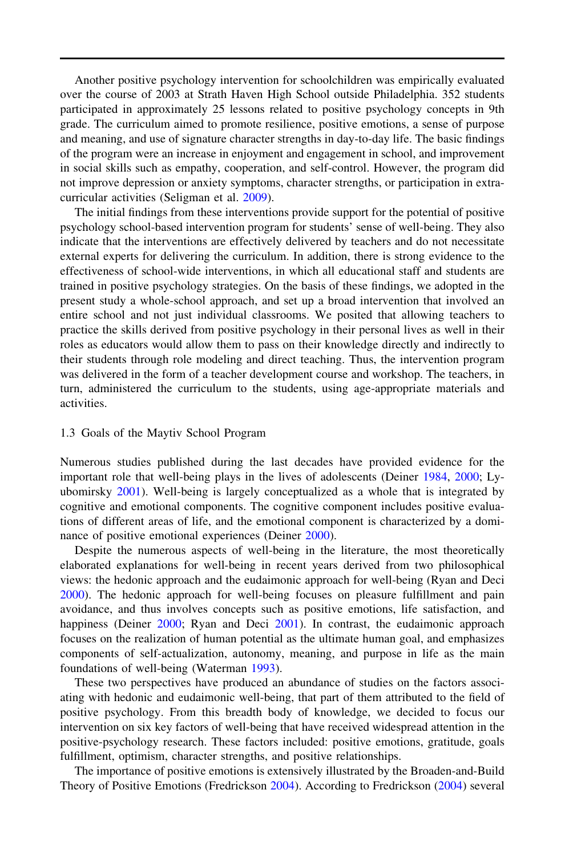Another positive psychology intervention for schoolchildren was empirically evaluated over the course of 2003 at Strath Haven High School outside Philadelphia. 352 students participated in approximately 25 lessons related to positive psychology concepts in 9th grade. The curriculum aimed to promote resilience, positive emotions, a sense of purpose and meaning, and use of signature character strengths in day-to-day life. The basic findings of the program were an increase in enjoyment and engagement in school, and improvement in social skills such as empathy, cooperation, and self-control. However, the program did not improve depression or anxiety symptoms, character strengths, or participation in extracurricular activities (Seligman et al. [2009](#page-21-0)).

The initial findings from these interventions provide support for the potential of positive psychology school-based intervention program for students' sense of well-being. They also indicate that the interventions are effectively delivered by teachers and do not necessitate external experts for delivering the curriculum. In addition, there is strong evidence to the effectiveness of school-wide interventions, in which all educational staff and students are trained in positive psychology strategies. On the basis of these findings, we adopted in the present study a whole-school approach, and set up a broad intervention that involved an entire school and not just individual classrooms. We posited that allowing teachers to practice the skills derived from positive psychology in their personal lives as well in their roles as educators would allow them to pass on their knowledge directly and indirectly to their students through role modeling and direct teaching. Thus, the intervention program was delivered in the form of a teacher development course and workshop. The teachers, in turn, administered the curriculum to the students, using age-appropriate materials and activities.

### 1.3 Goals of the Maytiv School Program

Numerous studies published during the last decades have provided evidence for the important role that well-being plays in the lives of adolescents (Deiner [1984](#page-19-0), [2000;](#page-19-0) Lyubomirsky [2001\)](#page-20-0). Well-being is largely conceptualized as a whole that is integrated by cognitive and emotional components. The cognitive component includes positive evaluations of different areas of life, and the emotional component is characterized by a dominance of positive emotional experiences (Deiner [2000\)](#page-19-0).

Despite the numerous aspects of well-being in the literature, the most theoretically elaborated explanations for well-being in recent years derived from two philosophical views: the hedonic approach and the eudaimonic approach for well-being (Ryan and Deci [2000\)](#page-21-0). The hedonic approach for well-being focuses on pleasure fulfillment and pain avoidance, and thus involves concepts such as positive emotions, life satisfaction, and happiness (Deiner [2000](#page-19-0); Ryan and Deci [2001\)](#page-21-0). In contrast, the eudaimonic approach focuses on the realization of human potential as the ultimate human goal, and emphasizes components of self-actualization, autonomy, meaning, and purpose in life as the main foundations of well-being (Waterman [1993](#page-22-0)).

These two perspectives have produced an abundance of studies on the factors associating with hedonic and eudaimonic well-being, that part of them attributed to the field of positive psychology. From this breadth body of knowledge, we decided to focus our intervention on six key factors of well-being that have received widespread attention in the positive-psychology research. These factors included: positive emotions, gratitude, goals fulfillment, optimism, character strengths, and positive relationships.

The importance of positive emotions is extensively illustrated by the Broaden-and-Build Theory of Positive Emotions (Fredrickson [2004](#page-20-0)). According to Fredrickson [\(2004\)](#page-20-0) several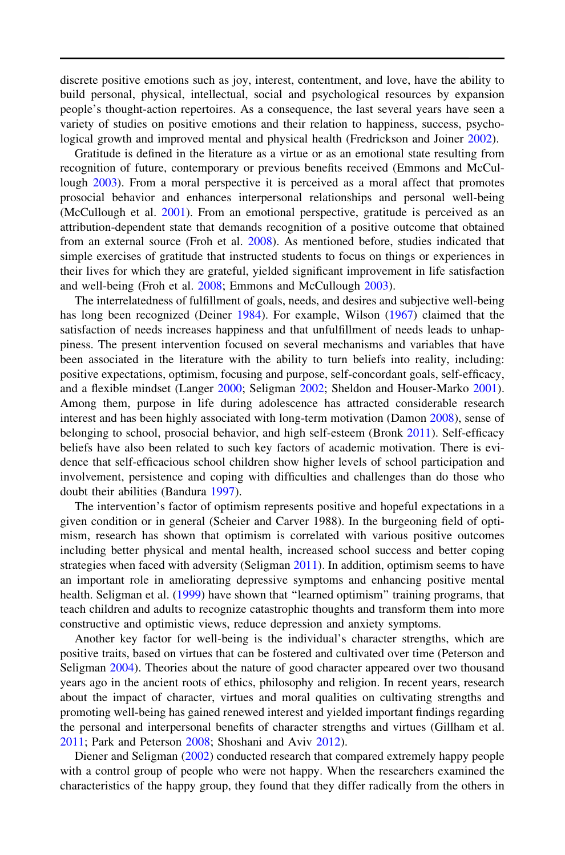discrete positive emotions such as joy, interest, contentment, and love, have the ability to build personal, physical, intellectual, social and psychological resources by expansion people's thought-action repertoires. As a consequence, the last several years have seen a variety of studies on positive emotions and their relation to happiness, success, psychological growth and improved mental and physical health (Fredrickson and Joiner [2002\)](#page-20-0).

Gratitude is defined in the literature as a virtue or as an emotional state resulting from recognition of future, contemporary or previous benefits received (Emmons and McCul-lough [2003](#page-19-0)). From a moral perspective it is perceived as a moral affect that promotes prosocial behavior and enhances interpersonal relationships and personal well-being (McCullough et al. [2001\)](#page-20-0). From an emotional perspective, gratitude is perceived as an attribution-dependent state that demands recognition of a positive outcome that obtained from an external source (Froh et al. [2008\)](#page-20-0). As mentioned before, studies indicated that simple exercises of gratitude that instructed students to focus on things or experiences in their lives for which they are grateful, yielded significant improvement in life satisfaction and well-being (Froh et al. [2008;](#page-20-0) Emmons and McCullough [2003](#page-19-0)).

The interrelatedness of fulfillment of goals, needs, and desires and subjective well-being has long been recognized (Deiner [1984](#page-19-0)). For example, Wilson ([1967\)](#page-22-0) claimed that the satisfaction of needs increases happiness and that unfulfillment of needs leads to unhappiness. The present intervention focused on several mechanisms and variables that have been associated in the literature with the ability to turn beliefs into reality, including: positive expectations, optimism, focusing and purpose, self-concordant goals, self-efficacy, and a flexible mindset (Langer [2000](#page-20-0); Seligman [2002](#page-21-0); Sheldon and Houser-Marko [2001](#page-21-0)). Among them, purpose in life during adolescence has attracted considerable research interest and has been highly associated with long-term motivation (Damon [2008\)](#page-19-0), sense of belonging to school, prosocial behavior, and high self-esteem (Bronk [2011\)](#page-19-0). Self-efficacy beliefs have also been related to such key factors of academic motivation. There is evidence that self-efficacious school children show higher levels of school participation and involvement, persistence and coping with difficulties and challenges than do those who doubt their abilities (Bandura [1997\)](#page-19-0).

The intervention's factor of optimism represents positive and hopeful expectations in a given condition or in general (Scheier and Carver 1988). In the burgeoning field of optimism, research has shown that optimism is correlated with various positive outcomes including better physical and mental health, increased school success and better coping strategies when faced with adversity (Seligman [2011](#page-21-0)). In addition, optimism seems to have an important role in ameliorating depressive symptoms and enhancing positive mental health. Seligman et al. ([1999](#page-21-0)) have shown that ''learned optimism'' training programs, that teach children and adults to recognize catastrophic thoughts and transform them into more constructive and optimistic views, reduce depression and anxiety symptoms.

Another key factor for well-being is the individual's character strengths, which are positive traits, based on virtues that can be fostered and cultivated over time (Peterson and Seligman [2004](#page-21-0)). Theories about the nature of good character appeared over two thousand years ago in the ancient roots of ethics, philosophy and religion. In recent years, research about the impact of character, virtues and moral qualities on cultivating strengths and promoting well-being has gained renewed interest and yielded important findings regarding the personal and interpersonal benefits of character strengths and virtues (Gillham et al. [2011;](#page-20-0) Park and Peterson [2008;](#page-21-0) Shoshani and Aviv [2012](#page-21-0)).

Diener and Seligman [\(2002](#page-19-0)) conducted research that compared extremely happy people with a control group of people who were not happy. When the researchers examined the characteristics of the happy group, they found that they differ radically from the others in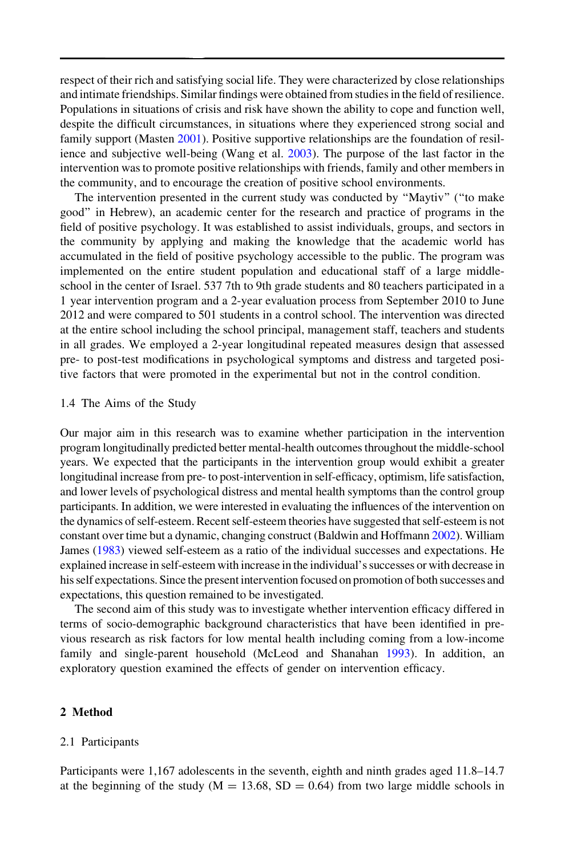respect of their rich and satisfying social life. They were characterized by close relationships and intimate friendships. Similar findings were obtained from studies in the field of resilience. Populations in situations of crisis and risk have shown the ability to cope and function well, despite the difficult circumstances, in situations where they experienced strong social and family support (Masten [2001](#page-20-0)). Positive supportive relationships are the foundation of resilience and subjective well-being (Wang et al. [2003\)](#page-22-0). The purpose of the last factor in the intervention was to promote positive relationships with friends, family and other members in the community, and to encourage the creation of positive school environments.

The intervention presented in the current study was conducted by ''Maytiv'' (''to make good'' in Hebrew), an academic center for the research and practice of programs in the field of positive psychology. It was established to assist individuals, groups, and sectors in the community by applying and making the knowledge that the academic world has accumulated in the field of positive psychology accessible to the public. The program was implemented on the entire student population and educational staff of a large middleschool in the center of Israel. 537 7th to 9th grade students and 80 teachers participated in a 1 year intervention program and a 2-year evaluation process from September 2010 to June 2012 and were compared to 501 students in a control school. The intervention was directed at the entire school including the school principal, management staff, teachers and students in all grades. We employed a 2-year longitudinal repeated measures design that assessed pre- to post-test modifications in psychological symptoms and distress and targeted positive factors that were promoted in the experimental but not in the control condition.

#### 1.4 The Aims of the Study

Our major aim in this research was to examine whether participation in the intervention program longitudinally predicted better mental-health outcomes throughout the middle-school years. We expected that the participants in the intervention group would exhibit a greater longitudinal increase from pre- to post-intervention in self-efficacy, optimism, life satisfaction, and lower levels of psychological distress and mental health symptoms than the control group participants. In addition, we were interested in evaluating the influences of the intervention on the dynamics of self-esteem. Recent self-esteem theories have suggested that self-esteem is not constant over time but a dynamic, changing construct (Baldwin and Hoffmann [2002\)](#page-19-0). William James [\(1983\)](#page-20-0) viewed self-esteem as a ratio of the individual successes and expectations. He explained increase in self-esteem with increase in the individual's successes or with decrease in his self expectations. Since the present intervention focused on promotion of both successes and expectations, this question remained to be investigated.

The second aim of this study was to investigate whether intervention efficacy differed in terms of socio-demographic background characteristics that have been identified in previous research as risk factors for low mental health including coming from a low-income family and single-parent household (McLeod and Shanahan [1993](#page-20-0)). In addition, an exploratory question examined the effects of gender on intervention efficacy.

# 2 Method

#### 2.1 Participants

Participants were 1,167 adolescents in the seventh, eighth and ninth grades aged 11.8–14.7 at the beginning of the study ( $M = 13.68$ ,  $SD = 0.64$ ) from two large middle schools in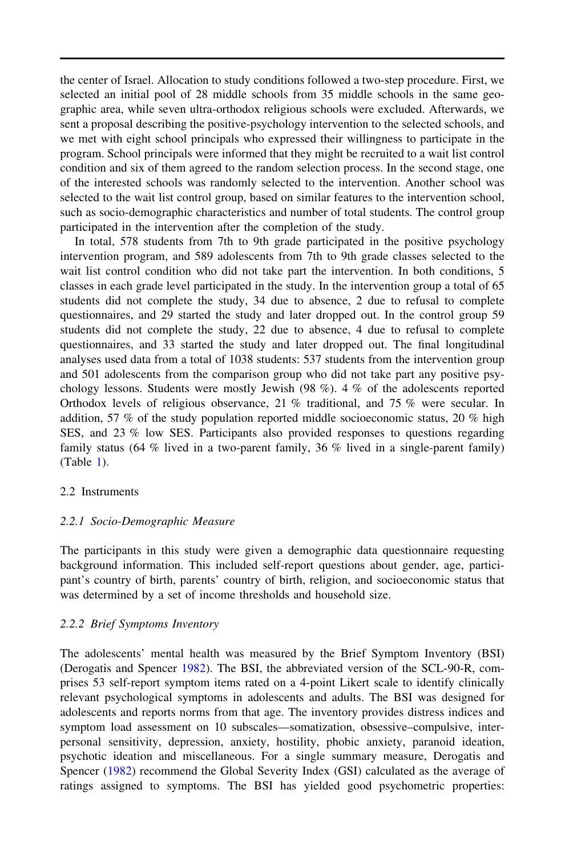the center of Israel. Allocation to study conditions followed a two-step procedure. First, we selected an initial pool of 28 middle schools from 35 middle schools in the same geographic area, while seven ultra-orthodox religious schools were excluded. Afterwards, we sent a proposal describing the positive-psychology intervention to the selected schools, and we met with eight school principals who expressed their willingness to participate in the program. School principals were informed that they might be recruited to a wait list control condition and six of them agreed to the random selection process. In the second stage, one of the interested schools was randomly selected to the intervention. Another school was selected to the wait list control group, based on similar features to the intervention school, such as socio-demographic characteristics and number of total students. The control group participated in the intervention after the completion of the study.

In total, 578 students from 7th to 9th grade participated in the positive psychology intervention program, and 589 adolescents from 7th to 9th grade classes selected to the wait list control condition who did not take part the intervention. In both conditions, 5 classes in each grade level participated in the study. In the intervention group a total of 65 students did not complete the study, 34 due to absence, 2 due to refusal to complete questionnaires, and 29 started the study and later dropped out. In the control group 59 students did not complete the study, 22 due to absence, 4 due to refusal to complete questionnaires, and 33 started the study and later dropped out. The final longitudinal analyses used data from a total of 1038 students: 537 students from the intervention group and 501 adolescents from the comparison group who did not take part any positive psychology lessons. Students were mostly Jewish (98 %). 4 % of the adolescents reported Orthodox levels of religious observance, 21 % traditional, and 75 % were secular. In addition, 57 % of the study population reported middle socioeconomic status, 20 % high SES, and 23 % low SES. Participants also provided responses to questions regarding family status (64 % lived in a two-parent family, 36 % lived in a single-parent family) (Table [1](#page-8-0)).

# 2.2 Instruments

### 2.2.1 Socio-Demographic Measure

The participants in this study were given a demographic data questionnaire requesting background information. This included self-report questions about gender, age, participant's country of birth, parents' country of birth, religion, and socioeconomic status that was determined by a set of income thresholds and household size.

# 2.2.2 Brief Symptoms Inventory

The adolescents' mental health was measured by the Brief Symptom Inventory (BSI) (Derogatis and Spencer [1982](#page-19-0)). The BSI, the abbreviated version of the SCL-90-R, comprises 53 self-report symptom items rated on a 4-point Likert scale to identify clinically relevant psychological symptoms in adolescents and adults. The BSI was designed for adolescents and reports norms from that age. The inventory provides distress indices and symptom load assessment on 10 subscales—somatization, obsessive–compulsive, interpersonal sensitivity, depression, anxiety, hostility, phobic anxiety, paranoid ideation, psychotic ideation and miscellaneous. For a single summary measure, Derogatis and Spencer ([1982\)](#page-19-0) recommend the Global Severity Index (GSI) calculated as the average of ratings assigned to symptoms. The BSI has yielded good psychometric properties: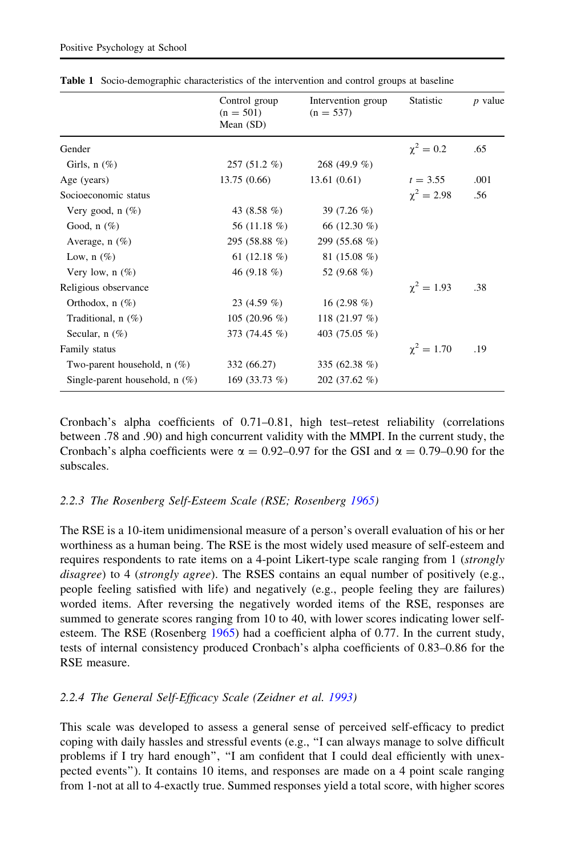|                                  | Control group<br>$(n = 501)$<br>Mean $(SD)$ | Intervention group<br>$(n = 537)$ | Statistic       | $p$ value |
|----------------------------------|---------------------------------------------|-----------------------------------|-----------------|-----------|
| Gender                           |                                             |                                   | $\chi^2 = 0.2$  | .65       |
| Girls, $n$ (%)                   | 257 (51.2 %)                                | 268 (49.9 %)                      |                 |           |
| Age (years)                      | 13.75(0.66)                                 | 13.61(0.61)                       | $t = 3.55$      | .001      |
| Socioeconomic status             |                                             |                                   | $\chi^2 = 2.98$ | .56       |
| Very good, $n$ $(\%)$            | 43 $(8.58\%)$                               | 39 $(7.26\% )$                    |                 |           |
| Good, $n$ $(\%)$                 | 56 (11.18 %)                                | 66 (12.30 %)                      |                 |           |
| Average, $n$ (%)                 | 295 (58.88 %)                               | 299 (55.68 %)                     |                 |           |
| Low, $n$ $(\%)$                  | 61 $(12.18\%)$                              | 81 $(15.08\%)$                    |                 |           |
| Very low, $n$ (%)                | 46 $(9.18\%)$                               | 52 (9.68 %)                       |                 |           |
| Religious observance             |                                             |                                   | $\chi^2 = 1.93$ | .38       |
| Orthodox, $n$ (%)                | 23 $(4.59\%)$                               | 16 $(2.98\%)$                     |                 |           |
| Traditional, $n$ (%)             | 105 (20.96 $%$ )                            | 118 $(21.97\%)$                   |                 |           |
| Secular, $n$ (%)                 | 373 (74.45 %)                               | 403 (75.05 %)                     |                 |           |
| Family status                    |                                             |                                   | $\chi^2 = 1.70$ | .19       |
| Two-parent household, $n$ (%)    | 332 (66.27)                                 | 335 $(62.38\% )$                  |                 |           |
| Single-parent household, $n$ (%) | 169 (33.73 %)                               | 202 (37.62 %)                     |                 |           |

<span id="page-8-0"></span>Table 1 Socio-demographic characteristics of the intervention and control groups at baseline

Cronbach's alpha coefficients of 0.71–0.81, high test–retest reliability (correlations between .78 and .90) and high concurrent validity with the MMPI. In the current study, the Cronbach's alpha coefficients were  $\alpha = 0.92{\text -}0.97$  for the GSI and  $\alpha = 0.79{\text -}0.90$  for the subscales.

### 2.2.3 The Rosenberg Self-Esteem Scale (RSE; Rosenberg [1965\)](#page-21-0)

The RSE is a 10-item unidimensional measure of a person's overall evaluation of his or her worthiness as a human being. The RSE is the most widely used measure of self-esteem and requires respondents to rate items on a 4-point Likert-type scale ranging from 1 (strongly disagree) to 4 (strongly agree). The RSES contains an equal number of positively (e.g., people feeling satisfied with life) and negatively (e.g., people feeling they are failures) worded items. After reversing the negatively worded items of the RSE, responses are summed to generate scores ranging from 10 to 40, with lower scores indicating lower selfesteem. The RSE (Rosenberg [1965\)](#page-21-0) had a coefficient alpha of 0.77. In the current study, tests of internal consistency produced Cronbach's alpha coefficients of 0.83–0.86 for the RSE measure.

# 2.2.4 The General Self-Efficacy Scale (Zeidner et al. [1993\)](#page-22-0)

This scale was developed to assess a general sense of perceived self-efficacy to predict coping with daily hassles and stressful events (e.g., ''I can always manage to solve difficult problems if I try hard enough", "I am confident that I could deal efficiently with unexpected events''). It contains 10 items, and responses are made on a 4 point scale ranging from 1-not at all to 4-exactly true. Summed responses yield a total score, with higher scores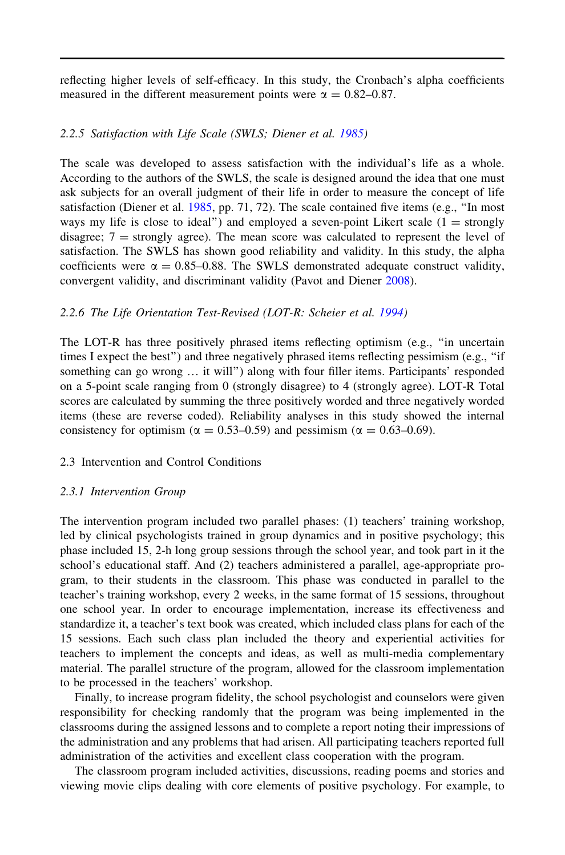reflecting higher levels of self-efficacy. In this study, the Cronbach's alpha coefficients measured in the different measurement points were  $\alpha = 0.82{\text -}0.87$ .

### 2.2.5 Satisfaction with Life Scale (SWLS; Diener et al. [1985\)](#page-19-0)

The scale was developed to assess satisfaction with the individual's life as a whole. According to the authors of the SWLS, the scale is designed around the idea that one must ask subjects for an overall judgment of their life in order to measure the concept of life satisfaction (Diener et al. [1985](#page-19-0), pp. 71, 72). The scale contained five items (e.g., "In most ways my life is close to ideal") and employed a seven-point Likert scale  $(1 =$  strongly disagree;  $7 =$  strongly agree). The mean score was calculated to represent the level of satisfaction. The SWLS has shown good reliability and validity. In this study, the alpha coefficients were  $\alpha = 0.85 - 0.88$ . The SWLS demonstrated adequate construct validity, convergent validity, and discriminant validity (Pavot and Diener [2008](#page-21-0)).

# 2.2.6 The Life Orientation Test-Revised (LOT-R: Scheier et al. [1994\)](#page-21-0)

The LOT-R has three positively phrased items reflecting optimism (e.g., ''in uncertain times I expect the best'') and three negatively phrased items reflecting pessimism (e.g., ''if something can go wrong … it will'') along with four filler items. Participants' responded on a 5-point scale ranging from 0 (strongly disagree) to 4 (strongly agree). LOT-R Total scores are calculated by summing the three positively worded and three negatively worded items (these are reverse coded). Reliability analyses in this study showed the internal consistency for optimism ( $\alpha = 0.53{\text -}0.59$ ) and pessimism ( $\alpha = 0.63{\text -}0.69$ ).

### 2.3 Intervention and Control Conditions

### 2.3.1 Intervention Group

The intervention program included two parallel phases: (1) teachers' training workshop, led by clinical psychologists trained in group dynamics and in positive psychology; this phase included 15, 2-h long group sessions through the school year, and took part in it the school's educational staff. And (2) teachers administered a parallel, age-appropriate program, to their students in the classroom. This phase was conducted in parallel to the teacher's training workshop, every 2 weeks, in the same format of 15 sessions, throughout one school year. In order to encourage implementation, increase its effectiveness and standardize it, a teacher's text book was created, which included class plans for each of the 15 sessions. Each such class plan included the theory and experiential activities for teachers to implement the concepts and ideas, as well as multi-media complementary material. The parallel structure of the program, allowed for the classroom implementation to be processed in the teachers' workshop.

Finally, to increase program fidelity, the school psychologist and counselors were given responsibility for checking randomly that the program was being implemented in the classrooms during the assigned lessons and to complete a report noting their impressions of the administration and any problems that had arisen. All participating teachers reported full administration of the activities and excellent class cooperation with the program.

The classroom program included activities, discussions, reading poems and stories and viewing movie clips dealing with core elements of positive psychology. For example, to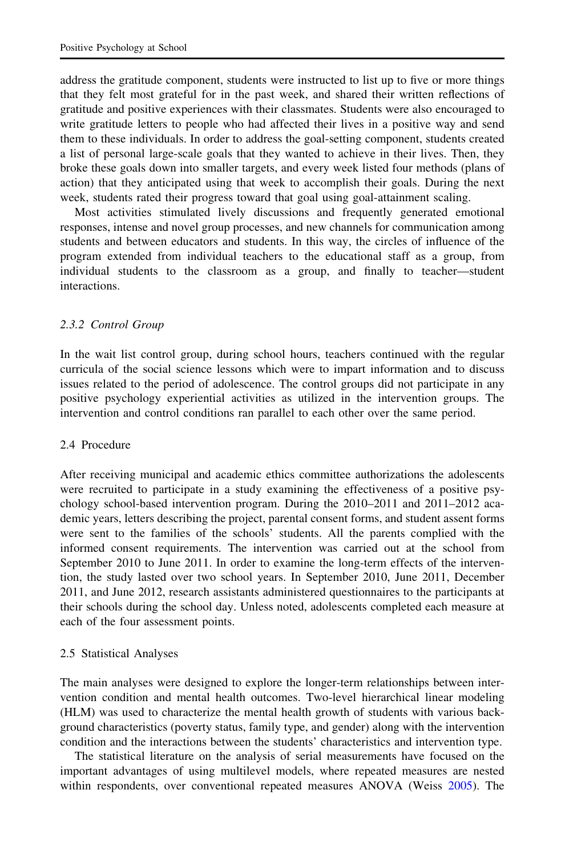address the gratitude component, students were instructed to list up to five or more things that they felt most grateful for in the past week, and shared their written reflections of gratitude and positive experiences with their classmates. Students were also encouraged to write gratitude letters to people who had affected their lives in a positive way and send them to these individuals. In order to address the goal-setting component, students created a list of personal large-scale goals that they wanted to achieve in their lives. Then, they broke these goals down into smaller targets, and every week listed four methods (plans of action) that they anticipated using that week to accomplish their goals. During the next week, students rated their progress toward that goal using goal-attainment scaling.

Most activities stimulated lively discussions and frequently generated emotional responses, intense and novel group processes, and new channels for communication among students and between educators and students. In this way, the circles of influence of the program extended from individual teachers to the educational staff as a group, from individual students to the classroom as a group, and finally to teacher—student interactions.

### 2.3.2 Control Group

In the wait list control group, during school hours, teachers continued with the regular curricula of the social science lessons which were to impart information and to discuss issues related to the period of adolescence. The control groups did not participate in any positive psychology experiential activities as utilized in the intervention groups. The intervention and control conditions ran parallel to each other over the same period.

### 2.4 Procedure

After receiving municipal and academic ethics committee authorizations the adolescents were recruited to participate in a study examining the effectiveness of a positive psychology school-based intervention program. During the 2010–2011 and 2011–2012 academic years, letters describing the project, parental consent forms, and student assent forms were sent to the families of the schools' students. All the parents complied with the informed consent requirements. The intervention was carried out at the school from September 2010 to June 2011. In order to examine the long-term effects of the intervention, the study lasted over two school years. In September 2010, June 2011, December 2011, and June 2012, research assistants administered questionnaires to the participants at their schools during the school day. Unless noted, adolescents completed each measure at each of the four assessment points.

#### 2.5 Statistical Analyses

The main analyses were designed to explore the longer-term relationships between intervention condition and mental health outcomes. Two-level hierarchical linear modeling (HLM) was used to characterize the mental health growth of students with various background characteristics (poverty status, family type, and gender) along with the intervention condition and the interactions between the students' characteristics and intervention type.

The statistical literature on the analysis of serial measurements have focused on the important advantages of using multilevel models, where repeated measures are nested within respondents, over conventional repeated measures ANOVA (Weiss [2005\)](#page-22-0). The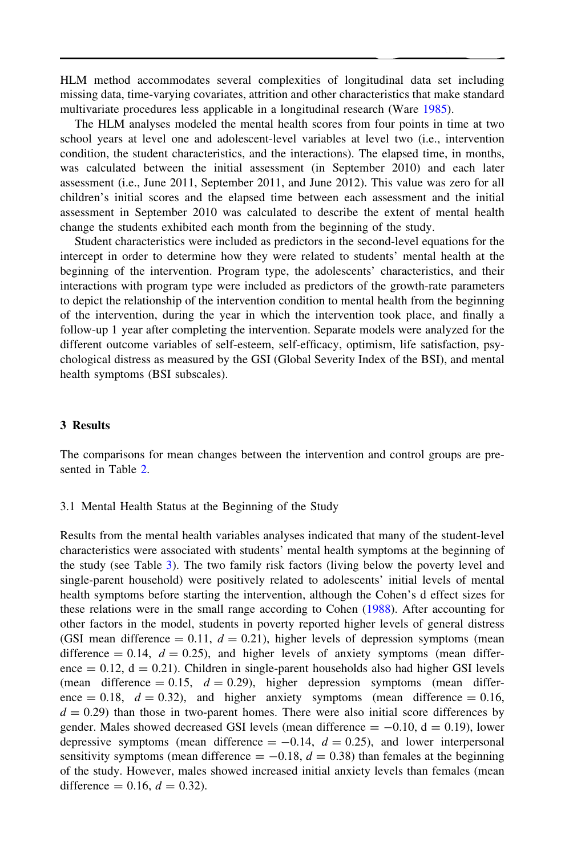HLM method accommodates several complexities of longitudinal data set including missing data, time-varying covariates, attrition and other characteristics that make standard multivariate procedures less applicable in a longitudinal research (Ware [1985\)](#page-22-0).

The HLM analyses modeled the mental health scores from four points in time at two school years at level one and adolescent-level variables at level two (i.e., intervention condition, the student characteristics, and the interactions). The elapsed time, in months, was calculated between the initial assessment (in September 2010) and each later assessment (i.e., June 2011, September 2011, and June 2012). This value was zero for all children's initial scores and the elapsed time between each assessment and the initial assessment in September 2010 was calculated to describe the extent of mental health change the students exhibited each month from the beginning of the study.

Student characteristics were included as predictors in the second-level equations for the intercept in order to determine how they were related to students' mental health at the beginning of the intervention. Program type, the adolescents' characteristics, and their interactions with program type were included as predictors of the growth-rate parameters to depict the relationship of the intervention condition to mental health from the beginning of the intervention, during the year in which the intervention took place, and finally a follow-up 1 year after completing the intervention. Separate models were analyzed for the different outcome variables of self-esteem, self-efficacy, optimism, life satisfaction, psychological distress as measured by the GSI (Global Severity Index of the BSI), and mental health symptoms (BSI subscales).

### 3 Results

The comparisons for mean changes between the intervention and control groups are presented in Table [2](#page-12-0).

#### 3.1 Mental Health Status at the Beginning of the Study

Results from the mental health variables analyses indicated that many of the student-level characteristics were associated with students' mental health symptoms at the beginning of the study (see Table [3](#page-13-0)). The two family risk factors (living below the poverty level and single-parent household) were positively related to adolescents' initial levels of mental health symptoms before starting the intervention, although the Cohen's d effect sizes for these relations were in the small range according to Cohen [\(1988](#page-19-0)). After accounting for other factors in the model, students in poverty reported higher levels of general distress (GSI mean difference  $= 0.11$ ,  $d = 0.21$ ), higher levels of depression symptoms (mean difference = 0.14,  $d = 0.25$ ), and higher levels of anxiety symptoms (mean differ- $\text{ence} = 0.12$ ,  $d = 0.21$ ). Children in single-parent households also had higher GSI levels (mean difference = 0.15,  $d = 0.29$ ), higher depression symptoms (mean difference = 0.18,  $d = 0.32$ ), and higher anxiety symptoms (mean difference = 0.16,  $d = 0.29$ ) than those in two-parent homes. There were also initial score differences by gender. Males showed decreased GSI levels (mean difference  $= -0.10$ ,  $d = 0.19$ ), lower depressive symptoms (mean difference  $= -0.14$ ,  $d = 0.25$ ), and lower interpersonal sensitivity symptoms (mean difference  $= -0.18$ ,  $d = 0.38$ ) than females at the beginning of the study. However, males showed increased initial anxiety levels than females (mean difference = 0.16,  $d = 0.32$ ).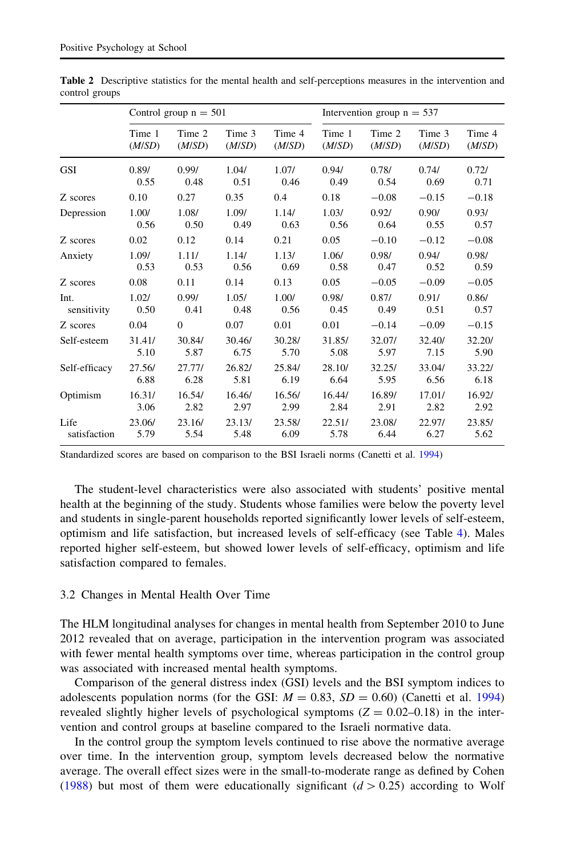|               | Control group $n = 501$ |          |        |        | Intervention group $n = 537$ |         |         |         |  |
|---------------|-------------------------|----------|--------|--------|------------------------------|---------|---------|---------|--|
|               | Time 1                  | Time 2   | Time 3 | Time 4 | Time 1                       | Time 2  | Time 3  | Time 4  |  |
|               | (M/SD)                  | (M/SD)   | (M/SD) | (M/SD) | (M/SD)                       | (M/SD)  | (M/SD)  | (M/SD)  |  |
| <b>GSI</b>    | 0.89/                   | 0.99/    | 1.04/  | 1.07/  | 0.94/                        | 0.78/   | 0.74/   | 0.72/   |  |
|               | 0.55                    | 0.48     | 0.51   | 0.46   | 0.49                         | 0.54    | 0.69    | 0.71    |  |
| Z scores      | 0.10                    | 0.27     | 0.35   | 0.4    | 0.18                         | $-0.08$ | $-0.15$ | $-0.18$ |  |
| Depression    | 1.00/                   | 1.08/    | 1.09/  | 1.14/  | 1.03/                        | 0.92/   | 0.90/   | 0.93/   |  |
|               | 0.56                    | 0.50     | 0.49   | 0.63   | 0.56                         | 0.64    | 0.55    | 0.57    |  |
| Z scores      | 0.02                    | 0.12     | 0.14   | 0.21   | 0.05                         | $-0.10$ | $-0.12$ | $-0.08$ |  |
| Anxiety       | 1.09/                   | 1.11/    | 1.14/  | 1.13/  | 1.06/                        | 0.98/   | 0.94/   | 0.98/   |  |
|               | 0.53                    | 0.53     | 0.56   | 0.69   | 0.58                         | 0.47    | 0.52    | 0.59    |  |
| Z scores      | 0.08                    | 0.11     | 0.14   | 0.13   | 0.05                         | $-0.05$ | $-0.09$ | $-0.05$ |  |
| Int.          | 1.02/                   | 0.99/    | 1.05/  | 1.00/  | 0.98/                        | 0.87/   | 0.91/   | 0.86/   |  |
| sensitivity   | 0.50                    | 0.41     | 0.48   | 0.56   | 0.45                         | 0.49    | 0.51    | 0.57    |  |
| Z scores      | 0.04                    | $\Omega$ | 0.07   | 0.01   | 0.01                         | $-0.14$ | $-0.09$ | $-0.15$ |  |
| Self-esteem   | 31.41/                  | 30.84/   | 30.46/ | 30.28/ | 31.85/                       | 32.07/  | 32.40/  | 32.20/  |  |
|               | 5.10                    | 5.87     | 6.75   | 5.70   | 5.08                         | 5.97    | 7.15    | 5.90    |  |
| Self-efficacy | 27.56/                  | 27.77/   | 26.82/ | 25.84/ | 28.10/                       | 32.25/  | 33.04/  | 33.22/  |  |
|               | 6.88                    | 6.28     | 5.81   | 6.19   | 6.64                         | 5.95    | 6.56    | 6.18    |  |
| Optimism      | 16.31/                  | 16.54/   | 16.46/ | 16.56/ | 16.44/                       | 16.89/  | 17.01/  | 16.92/  |  |
|               | 3.06                    | 2.82     | 2.97   | 2.99   | 2.84                         | 2.91    | 2.82    | 2.92    |  |
| Life          | 23.06/                  | 23.16/   | 23.13/ | 23.58/ | 22.51/                       | 23.08/  | 22.97/  | 23.85/  |  |
| satisfaction  | 5.79                    | 5.54     | 5.48   | 6.09   | 5.78                         | 6.44    | 6.27    | 5.62    |  |

<span id="page-12-0"></span>Table 2 Descriptive statistics for the mental health and self-perceptions measures in the intervention and control groups

Standardized scores are based on comparison to the BSI Israeli norms (Canetti et al. [1994\)](#page-19-0)

The student-level characteristics were also associated with students' positive mental health at the beginning of the study. Students whose families were below the poverty level and students in single-parent households reported significantly lower levels of self-esteem, optimism and life satisfaction, but increased levels of self-efficacy (see Table [4](#page-13-0)). Males reported higher self-esteem, but showed lower levels of self-efficacy, optimism and life satisfaction compared to females.

### 3.2 Changes in Mental Health Over Time

The HLM longitudinal analyses for changes in mental health from September 2010 to June 2012 revealed that on average, participation in the intervention program was associated with fewer mental health symptoms over time, whereas participation in the control group was associated with increased mental health symptoms.

Comparison of the general distress index (GSI) levels and the BSI symptom indices to adolescents population norms (for the GSI:  $M = 0.83$ ,  $SD = 0.60$ ) (Canetti et al. [1994](#page-19-0)) revealed slightly higher levels of psychological symptoms  $(Z = 0.02-0.18)$  in the intervention and control groups at baseline compared to the Israeli normative data.

In the control group the symptom levels continued to rise above the normative average over time. In the intervention group, symptom levels decreased below the normative average. The overall effect sizes were in the small-to-moderate range as defined by Cohen ([1988\)](#page-19-0) but most of them were educationally significant  $(d > 0.25)$  according to Wolf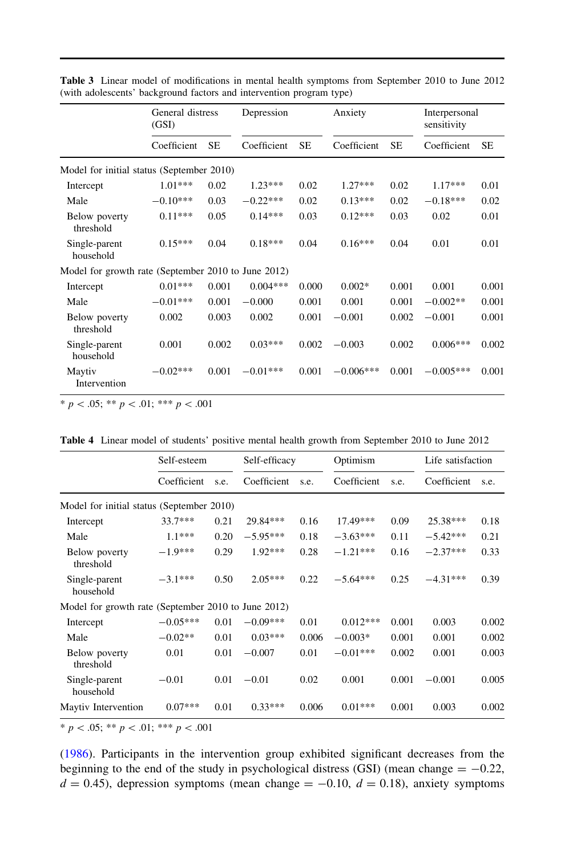|                                                     | General distress<br>(GSI) |           | Depression  |           | Anxiety     |           | Interpersonal<br>sensitivity |           |
|-----------------------------------------------------|---------------------------|-----------|-------------|-----------|-------------|-----------|------------------------------|-----------|
|                                                     | Coefficient               | <b>SE</b> | Coefficient | <b>SE</b> | Coefficient | <b>SE</b> | Coefficient                  | <b>SE</b> |
| Model for initial status (September 2010)           |                           |           |             |           |             |           |                              |           |
| Intercept                                           | $1.01***$                 | 0.02      | $1.23***$   | 0.02      | $1.27***$   | 0.02      | $1.17***$                    | 0.01      |
| Male                                                | $-0.10***$                | 0.03      | $-0.22***$  | 0.02      | $0.13***$   | 0.02      | $-0.18***$                   | 0.02      |
| Below poverty<br>threshold                          | $0.11***$                 | 0.05      | $0.14***$   | 0.03      | $0.12***$   | 0.03      | 0.02                         | 0.01      |
| Single-parent<br>household                          | $0.15***$                 | 0.04      | $0.18***$   | 0.04      | $0.16***$   | 0.04      | 0.01                         | 0.01      |
| Model for growth rate (September 2010 to June 2012) |                           |           |             |           |             |           |                              |           |
| Intercept                                           | $0.01***$                 | 0.001     | $0.004***$  | 0.000     | $0.002*$    | 0.001     | 0.001                        | 0.001     |
| Male                                                | $-0.01***$                | 0.001     | $-0.000$    | 0.001     | 0.001       | 0.001     | $-0.002**$                   | 0.001     |
| Below poverty<br>threshold                          | 0.002                     | 0.003     | 0.002       | 0.001     | $-0.001$    | 0.002     | $-0.001$                     | 0.001     |
| Single-parent<br>household                          | 0.001                     | 0.002     | $0.03***$   | 0.002     | $-0.003$    | 0.002     | $0.006***$                   | 0.002     |
| Maytiv<br>Intervention                              | $-0.02***$                | 0.001     | $-0.01***$  | 0.001     | $-0.006***$ | 0.001     | $-0.005***$                  | 0.001     |

<span id="page-13-0"></span>Table 3 Linear model of modifications in mental health symptoms from September 2010 to June 2012 (with adolescents' background factors and intervention program type)

 $* p < .05; ** p < .01; ** * p < .001$ 

|                                                     | Self-esteem |      | Self-efficacy |       | Optimism    |       | Life satisfaction |       |
|-----------------------------------------------------|-------------|------|---------------|-------|-------------|-------|-------------------|-------|
|                                                     | Coefficient | s.e. | Coefficient   | s.e.  | Coefficient | s.e.  | Coefficient       | s.e.  |
| Model for initial status (September 2010)           |             |      |               |       |             |       |                   |       |
| Intercept                                           | 33.7***     | 0.21 | 29.84***      | 0.16  | $17.49***$  | 0.09  | $25.38***$        | 0.18  |
| Male                                                | $1.1***$    | 0.20 | $-5.95***$    | 0.18  | $-3.63***$  | 0.11  | $-5.42***$        | 0.21  |
| Below poverty<br>threshold                          | $-1.9***$   | 0.29 | $1.92***$     | 0.28  | $-1.21***$  | 0.16  | $-2.37***$        | 0.33  |
| Single-parent<br>household                          | $-3.1***$   | 0.50 | $2.05***$     | 0.22  | $-5.64***$  | 0.25  | $-4.31***$        | 0.39  |
| Model for growth rate (September 2010 to June 2012) |             |      |               |       |             |       |                   |       |
| Intercept                                           | $-0.05***$  | 0.01 | $-0.09***$    | 0.01  | $0.012***$  | 0.001 | 0.003             | 0.002 |
| Male                                                | $-0.02**$   | 0.01 | $0.03***$     | 0.006 | $-0.003*$   | 0.001 | 0.001             | 0.002 |
| Below poverty<br>threshold                          | 0.01        | 0.01 | $-0.007$      | 0.01  | $-0.01***$  | 0.002 | 0.001             | 0.003 |
| Single-parent<br>household                          | $-0.01$     | 0.01 | $-0.01$       | 0.02  | 0.001       | 0.001 | $-0.001$          | 0.005 |
| Maytiv Intervention                                 | $0.07***$   | 0.01 | $0.33***$     | 0.006 | $0.01***$   | 0.001 | 0.003             | 0.002 |

Table 4 Linear model of students' positive mental health growth from September 2010 to June 2012

 $\frac{}{p \cdot p}$  + 0.05; \*\* p \.01; \*\*\* p \.001

([1986\)](#page-22-0). Participants in the intervention group exhibited significant decreases from the beginning to the end of the study in psychological distress (GSI) (mean change  $= -0.22$ ,  $d = 0.45$ ), depression symptoms (mean change = -0.10,  $d = 0.18$ ), anxiety symptoms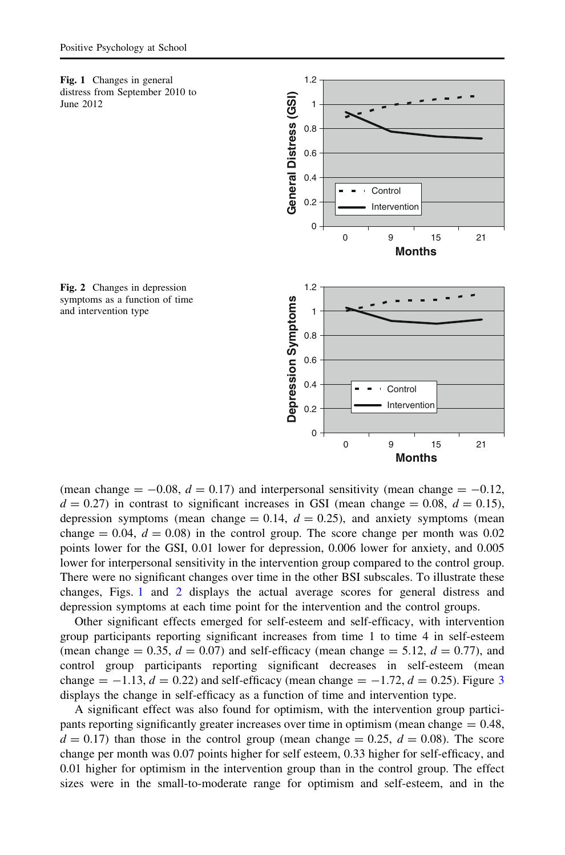Fig. 1 Changes in general distress from September 2010 to June 2012





(mean change  $= -0.08$ ,  $d = 0.17$ ) and interpersonal sensitivity (mean change  $= -0.12$ ,  $d = 0.27$ ) in contrast to significant increases in GSI (mean change = 0.08,  $d = 0.15$ ), depression symptoms (mean change  $= 0.14$ ,  $d = 0.25$ ), and anxiety symptoms (mean change  $= 0.04$ ,  $d = 0.08$ ) in the control group. The score change per month was 0.02 points lower for the GSI, 0.01 lower for depression, 0.006 lower for anxiety, and 0.005 lower for interpersonal sensitivity in the intervention group compared to the control group. There were no significant changes over time in the other BSI subscales. To illustrate these changes, Figs. 1 and 2 displays the actual average scores for general distress and depression symptoms at each time point for the intervention and the control groups.

Other significant effects emerged for self-esteem and self-efficacy, with intervention group participants reporting significant increases from time 1 to time 4 in self-esteem (mean change  $= 0.35$ ,  $d = 0.07$ ) and self-efficacy (mean change  $= 5.12$ ,  $d = 0.77$ ), and control group participants reporting significant decreases in self-esteem (mean change  $= -1.13$  $= -1.13$ ,  $d = 0.22$ ) and self-efficacy (mean change  $= -1.72$ ,  $d = 0.25$ ). Figure 3 displays the change in self-efficacy as a function of time and intervention type.

A significant effect was also found for optimism, with the intervention group participants reporting significantly greater increases over time in optimism (mean change  $= 0.48$ ,  $d = 0.17$ ) than those in the control group (mean change = 0.25,  $d = 0.08$ ). The score change per month was 0.07 points higher for self esteem, 0.33 higher for self-efficacy, and 0.01 higher for optimism in the intervention group than in the control group. The effect sizes were in the small-to-moderate range for optimism and self-esteem, and in the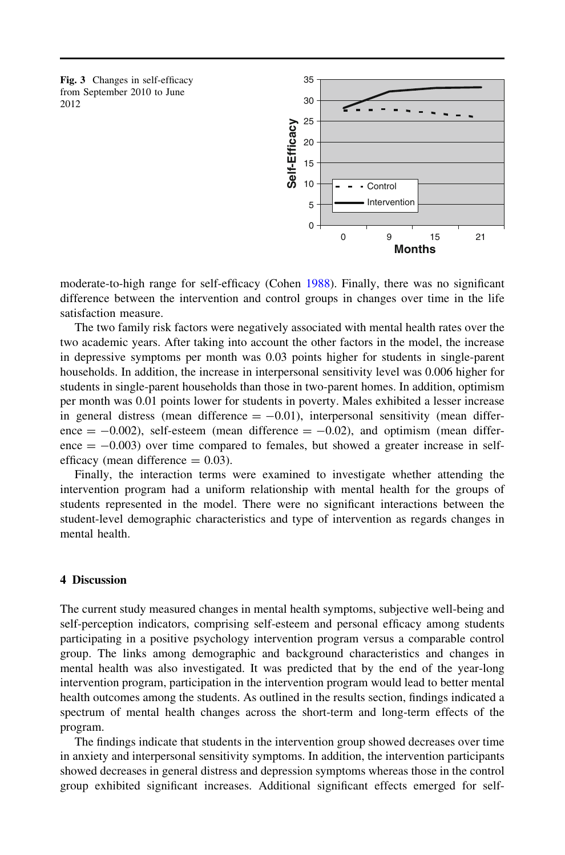<span id="page-15-0"></span>Fig. 3 Changes in self-efficacy from September 2010 to June 2012



moderate-to-high range for self-efficacy (Cohen [1988\)](#page-19-0). Finally, there was no significant difference between the intervention and control groups in changes over time in the life satisfaction measure.

The two family risk factors were negatively associated with mental health rates over the two academic years. After taking into account the other factors in the model, the increase in depressive symptoms per month was 0.03 points higher for students in single-parent households. In addition, the increase in interpersonal sensitivity level was 0.006 higher for students in single-parent households than those in two-parent homes. In addition, optimism per month was 0.01 points lower for students in poverty. Males exhibited a lesser increase in general distress (mean difference  $= -0.01$ ), interpersonal sensitivity (mean difference  $= -0.002$ ), self-esteem (mean difference  $= -0.02$ ), and optimism (mean difference  $= -0.003$ ) over time compared to females, but showed a greater increase in selfefficacy (mean difference  $= 0.03$ ).

Finally, the interaction terms were examined to investigate whether attending the intervention program had a uniform relationship with mental health for the groups of students represented in the model. There were no significant interactions between the student-level demographic characteristics and type of intervention as regards changes in mental health.

# 4 Discussion

The current study measured changes in mental health symptoms, subjective well-being and self-perception indicators, comprising self-esteem and personal efficacy among students participating in a positive psychology intervention program versus a comparable control group. The links among demographic and background characteristics and changes in mental health was also investigated. It was predicted that by the end of the year-long intervention program, participation in the intervention program would lead to better mental health outcomes among the students. As outlined in the results section, findings indicated a spectrum of mental health changes across the short-term and long-term effects of the program.

The findings indicate that students in the intervention group showed decreases over time in anxiety and interpersonal sensitivity symptoms. In addition, the intervention participants showed decreases in general distress and depression symptoms whereas those in the control group exhibited significant increases. Additional significant effects emerged for self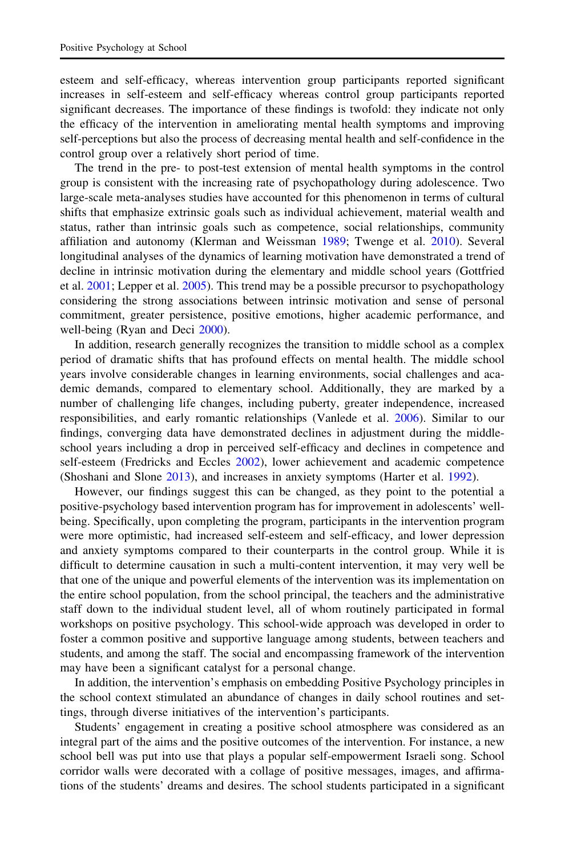esteem and self-efficacy, whereas intervention group participants reported significant increases in self-esteem and self-efficacy whereas control group participants reported significant decreases. The importance of these findings is twofold: they indicate not only the efficacy of the intervention in ameliorating mental health symptoms and improving self-perceptions but also the process of decreasing mental health and self-confidence in the control group over a relatively short period of time.

The trend in the pre- to post-test extension of mental health symptoms in the control group is consistent with the increasing rate of psychopathology during adolescence. Two large-scale meta-analyses studies have accounted for this phenomenon in terms of cultural shifts that emphasize extrinsic goals such as individual achievement, material wealth and status, rather than intrinsic goals such as competence, social relationships, community affiliation and autonomy (Klerman and Weissman [1989](#page-20-0); Twenge et al. [2010](#page-21-0)). Several longitudinal analyses of the dynamics of learning motivation have demonstrated a trend of decline in intrinsic motivation during the elementary and middle school years (Gottfried et al. [2001;](#page-20-0) Lepper et al. [2005\)](#page-20-0). This trend may be a possible precursor to psychopathology considering the strong associations between intrinsic motivation and sense of personal commitment, greater persistence, positive emotions, higher academic performance, and well-being (Ryan and Deci [2000\)](#page-21-0).

In addition, research generally recognizes the transition to middle school as a complex period of dramatic shifts that has profound effects on mental health. The middle school years involve considerable changes in learning environments, social challenges and academic demands, compared to elementary school. Additionally, they are marked by a number of challenging life changes, including puberty, greater independence, increased responsibilities, and early romantic relationships (Vanlede et al. [2006](#page-22-0)). Similar to our findings, converging data have demonstrated declines in adjustment during the middleschool years including a drop in perceived self-efficacy and declines in competence and self-esteem (Fredricks and Eccles [2002](#page-19-0)), lower achievement and academic competence (Shoshani and Slone [2013](#page-21-0)), and increases in anxiety symptoms (Harter et al. [1992](#page-20-0)).

However, our findings suggest this can be changed, as they point to the potential a positive-psychology based intervention program has for improvement in adolescents' wellbeing. Specifically, upon completing the program, participants in the intervention program were more optimistic, had increased self-esteem and self-efficacy, and lower depression and anxiety symptoms compared to their counterparts in the control group. While it is difficult to determine causation in such a multi-content intervention, it may very well be that one of the unique and powerful elements of the intervention was its implementation on the entire school population, from the school principal, the teachers and the administrative staff down to the individual student level, all of whom routinely participated in formal workshops on positive psychology. This school-wide approach was developed in order to foster a common positive and supportive language among students, between teachers and students, and among the staff. The social and encompassing framework of the intervention may have been a significant catalyst for a personal change.

In addition, the intervention's emphasis on embedding Positive Psychology principles in the school context stimulated an abundance of changes in daily school routines and settings, through diverse initiatives of the intervention's participants.

Students' engagement in creating a positive school atmosphere was considered as an integral part of the aims and the positive outcomes of the intervention. For instance, a new school bell was put into use that plays a popular self-empowerment Israeli song. School corridor walls were decorated with a collage of positive messages, images, and affirmations of the students' dreams and desires. The school students participated in a significant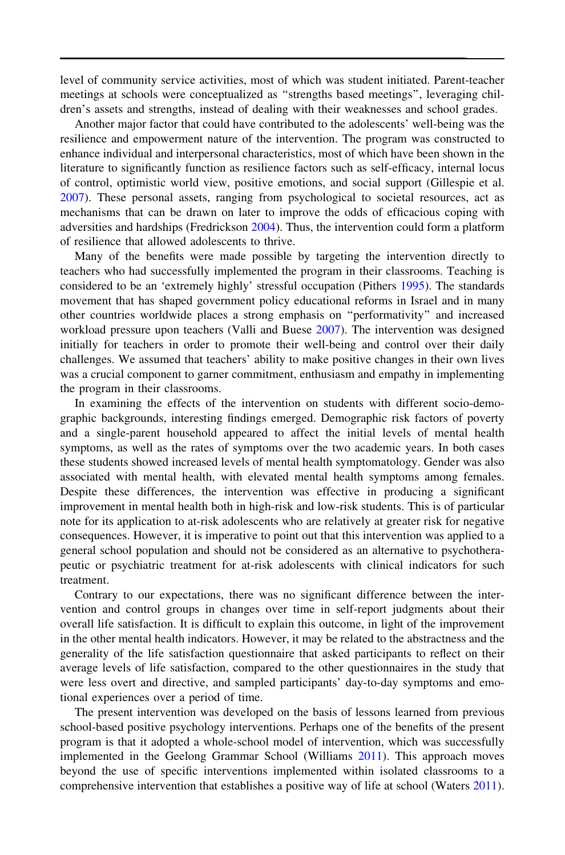level of community service activities, most of which was student initiated. Parent-teacher meetings at schools were conceptualized as ''strengths based meetings'', leveraging children's assets and strengths, instead of dealing with their weaknesses and school grades.

Another major factor that could have contributed to the adolescents' well-being was the resilience and empowerment nature of the intervention. The program was constructed to enhance individual and interpersonal characteristics, most of which have been shown in the literature to significantly function as resilience factors such as self-efficacy, internal locus of control, optimistic world view, positive emotions, and social support (Gillespie et al. [2007\)](#page-20-0). These personal assets, ranging from psychological to societal resources, act as mechanisms that can be drawn on later to improve the odds of efficacious coping with adversities and hardships (Fredrickson [2004\)](#page-20-0). Thus, the intervention could form a platform of resilience that allowed adolescents to thrive.

Many of the benefits were made possible by targeting the intervention directly to teachers who had successfully implemented the program in their classrooms. Teaching is considered to be an 'extremely highly' stressful occupation (Pithers [1995\)](#page-21-0). The standards movement that has shaped government policy educational reforms in Israel and in many other countries worldwide places a strong emphasis on ''performativity'' and increased workload pressure upon teachers (Valli and Buese [2007\)](#page-21-0). The intervention was designed initially for teachers in order to promote their well-being and control over their daily challenges. We assumed that teachers' ability to make positive changes in their own lives was a crucial component to garner commitment, enthusiasm and empathy in implementing the program in their classrooms.

In examining the effects of the intervention on students with different socio-demographic backgrounds, interesting findings emerged. Demographic risk factors of poverty and a single-parent household appeared to affect the initial levels of mental health symptoms, as well as the rates of symptoms over the two academic years. In both cases these students showed increased levels of mental health symptomatology. Gender was also associated with mental health, with elevated mental health symptoms among females. Despite these differences, the intervention was effective in producing a significant improvement in mental health both in high-risk and low-risk students. This is of particular note for its application to at-risk adolescents who are relatively at greater risk for negative consequences. However, it is imperative to point out that this intervention was applied to a general school population and should not be considered as an alternative to psychotherapeutic or psychiatric treatment for at-risk adolescents with clinical indicators for such treatment.

Contrary to our expectations, there was no significant difference between the intervention and control groups in changes over time in self-report judgments about their overall life satisfaction. It is difficult to explain this outcome, in light of the improvement in the other mental health indicators. However, it may be related to the abstractness and the generality of the life satisfaction questionnaire that asked participants to reflect on their average levels of life satisfaction, compared to the other questionnaires in the study that were less overt and directive, and sampled participants' day-to-day symptoms and emotional experiences over a period of time.

The present intervention was developed on the basis of lessons learned from previous school-based positive psychology interventions. Perhaps one of the benefits of the present program is that it adopted a whole-school model of intervention, which was successfully implemented in the Geelong Grammar School (Williams [2011\)](#page-22-0). This approach moves beyond the use of specific interventions implemented within isolated classrooms to a comprehensive intervention that establishes a positive way of life at school (Waters [2011](#page-22-0)).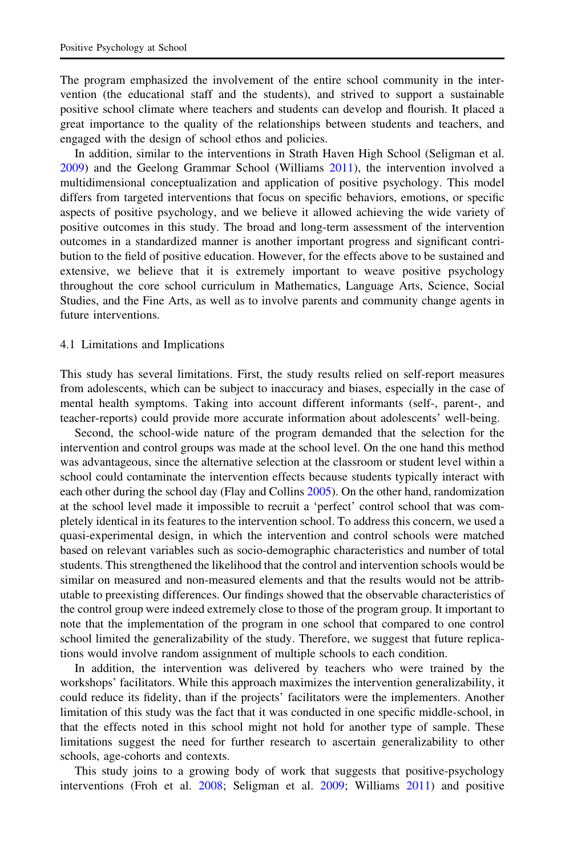The program emphasized the involvement of the entire school community in the intervention (the educational staff and the students), and strived to support a sustainable positive school climate where teachers and students can develop and flourish. It placed a great importance to the quality of the relationships between students and teachers, and engaged with the design of school ethos and policies.

In addition, similar to the interventions in Strath Haven High School (Seligman et al. [2009\)](#page-21-0) and the Geelong Grammar School (Williams [2011](#page-22-0)), the intervention involved a multidimensional conceptualization and application of positive psychology. This model differs from targeted interventions that focus on specific behaviors, emotions, or specific aspects of positive psychology, and we believe it allowed achieving the wide variety of positive outcomes in this study. The broad and long-term assessment of the intervention outcomes in a standardized manner is another important progress and significant contribution to the field of positive education. However, for the effects above to be sustained and extensive, we believe that it is extremely important to weave positive psychology throughout the core school curriculum in Mathematics, Language Arts, Science, Social Studies, and the Fine Arts, as well as to involve parents and community change agents in future interventions.

#### 4.1 Limitations and Implications

This study has several limitations. First, the study results relied on self-report measures from adolescents, which can be subject to inaccuracy and biases, especially in the case of mental health symptoms. Taking into account different informants (self-, parent-, and teacher-reports) could provide more accurate information about adolescents' well-being.

Second, the school-wide nature of the program demanded that the selection for the intervention and control groups was made at the school level. On the one hand this method was advantageous, since the alternative selection at the classroom or student level within a school could contaminate the intervention effects because students typically interact with each other during the school day (Flay and Collins [2005\)](#page-19-0). On the other hand, randomization at the school level made it impossible to recruit a 'perfect' control school that was completely identical in its features to the intervention school. To address this concern, we used a quasi-experimental design, in which the intervention and control schools were matched based on relevant variables such as socio-demographic characteristics and number of total students. This strengthened the likelihood that the control and intervention schools would be similar on measured and non-measured elements and that the results would not be attributable to preexisting differences. Our findings showed that the observable characteristics of the control group were indeed extremely close to those of the program group. It important to note that the implementation of the program in one school that compared to one control school limited the generalizability of the study. Therefore, we suggest that future replications would involve random assignment of multiple schools to each condition.

In addition, the intervention was delivered by teachers who were trained by the workshops' facilitators. While this approach maximizes the intervention generalizability, it could reduce its fidelity, than if the projects' facilitators were the implementers. Another limitation of this study was the fact that it was conducted in one specific middle-school, in that the effects noted in this school might not hold for another type of sample. These limitations suggest the need for further research to ascertain generalizability to other schools, age-cohorts and contexts.

This study joins to a growing body of work that suggests that positive-psychology interventions (Froh et al. [2008](#page-20-0); Seligman et al. [2009](#page-21-0); Williams [2011](#page-22-0)) and positive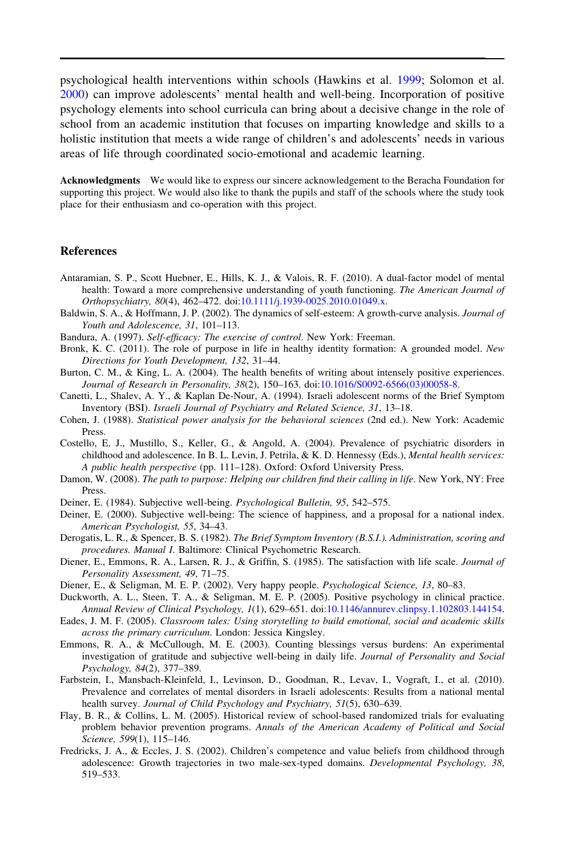<span id="page-19-0"></span>psychological health interventions within schools (Hawkins et al. [1999;](#page-20-0) Solomon et al. [2000\)](#page-21-0) can improve adolescents' mental health and well-being. Incorporation of positive psychology elements into school curricula can bring about a decisive change in the role of school from an academic institution that focuses on imparting knowledge and skills to a holistic institution that meets a wide range of children's and adolescents' needs in various areas of life through coordinated socio-emotional and academic learning.

Acknowledgments We would like to express our sincere acknowledgement to the Beracha Foundation for supporting this project. We would also like to thank the pupils and staff of the schools where the study took place for their enthusiasm and co-operation with this project.

#### **References**

- Antaramian, S. P., Scott Huebner, E., Hills, K. J., & Valois, R. F. (2010). A dual-factor model of mental health: Toward a more comprehensive understanding of youth functioning. The American Journal of Orthopsychiatry, 80(4), 462–472. doi[:10.1111/j.1939-0025.2010.01049.x.](http://dx.doi.org/10.1111/j.1939-0025.2010.01049.x)
- Baldwin, S. A., & Hoffmann, J. P. (2002). The dynamics of self-esteem: A growth-curve analysis. *Journal of* Youth and Adolescence, 31, 101–113.
- Bandura, A. (1997). Self-efficacy: The exercise of control. New York: Freeman.
- Bronk, K. C. (2011). The role of purpose in life in healthy identity formation: A grounded model. New Directions for Youth Development, 132, 31–44.
- Burton, C. M., & King, L. A. (2004). The health benefits of writing about intensely positive experiences. Journal of Research in Personality, 38(2), 150–163. doi[:10.1016/S0092-6566\(03\)00058-8.](http://dx.doi.org/10.1016/S0092-6566(03)00058-8)
- Canetti, L., Shalev, A. Y., & Kaplan De-Nour, A. (1994). Israeli adolescent norms of the Brief Symptom Inventory (BSI). Israeli Journal of Psychiatry and Related Science, 31, 13–18.
- Cohen, J. (1988). Statistical power analysis for the behavioral sciences (2nd ed.). New York: Academic Press.
- Costello, E. J., Mustillo, S., Keller, G., & Angold, A. (2004). Prevalence of psychiatric disorders in childhood and adolescence. In B. L. Levin, J. Petrila, & K. D. Hennessy (Eds.), Mental health services: A public health perspective (pp. 111–128). Oxford: Oxford University Press.
- Damon, W. (2008). The path to purpose: Helping our children find their calling in life. New York, NY: Free Press.
- Deiner, E. (1984). Subjective well-being. Psychological Bulletin, 95, 542–575.
- Deiner, E. (2000). Subjective well-being: The science of happiness, and a proposal for a national index. American Psychologist, 55, 34–43.
- Derogatis, L. R., & Spencer, B. S. (1982). The Brief Symptom Inventory (B.S.I.). Administration, scoring and procedures. Manual I. Baltimore: Clinical Psychometric Research.
- Diener, E., Emmons, R. A., Larsen, R. J., & Griffin, S. (1985). The satisfaction with life scale. Journal of Personality Assessment, 49, 71–75.
- Diener, E., & Seligman, M. E. P. (2002). Very happy people. Psychological Science, 13, 80–83.
- Duckworth, A. L., Steen, T. A., & Seligman, M. E. P. (2005). Positive psychology in clinical practice. Annual Review of Clinical Psychology, 1(1), 629–651. doi[:10.1146/annurev.clinpsy.1.102803.144154.](http://dx.doi.org/10.1146/annurev.clinpsy.1.102803.144154)
- Eades, J. M. F. (2005). Classroom tales: Using storytelling to build emotional, social and academic skills across the primary curriculum. London: Jessica Kingsley.
- Emmons, R. A., & McCullough, M. E. (2003). Counting blessings versus burdens: An experimental investigation of gratitude and subjective well-being in daily life. Journal of Personality and Social Psychology, 84(2), 377–389.
- Farbstein, I., Mansbach-Kleinfeld, I., Levinson, D., Goodman, R., Levav, I., Vograft, I., et al. (2010). Prevalence and correlates of mental disorders in Israeli adolescents: Results from a national mental health survey. Journal of Child Psychology and Psychiatry, 51(5), 630–639.
- Flay, B. R., & Collins, L. M. (2005). Historical review of school-based randomized trials for evaluating problem behavior prevention programs. Annals of the American Academy of Political and Social Science, 599(1), 115–146.
- Fredricks, J. A., & Eccles, J. S. (2002). Children's competence and value beliefs from childhood through adolescence: Growth trajectories in two male-sex-typed domains. Developmental Psychology, 38, 519–533.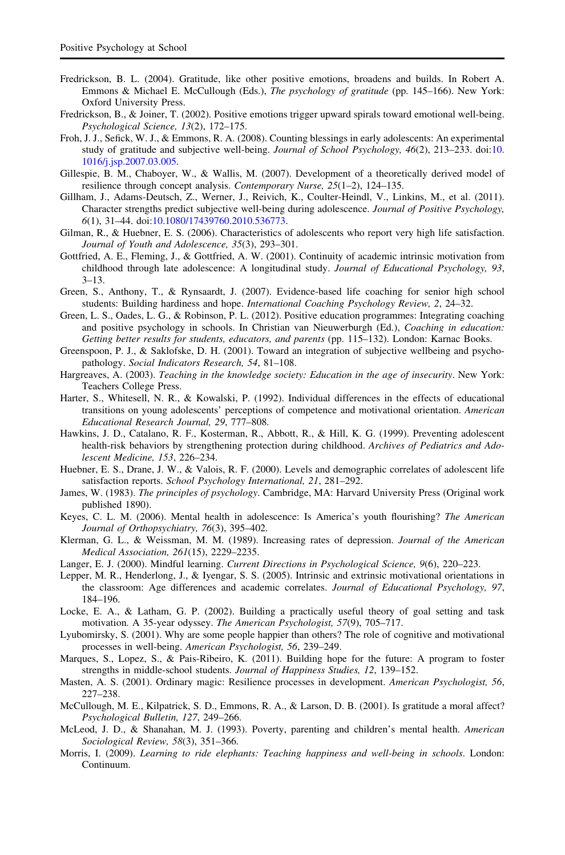- <span id="page-20-0"></span>Fredrickson, B. L. (2004). Gratitude, like other positive emotions, broadens and builds. In Robert A. Emmons & Michael E. McCullough (Eds.), The psychology of gratitude (pp. 145–166). New York: Oxford University Press.
- Fredrickson, B., & Joiner, T. (2002). Positive emotions trigger upward spirals toward emotional well-being. Psychological Science, 13(2), 172–175.
- Froh, J. J., Sefick, W. J., & Emmons, R. A. (2008). Counting blessings in early adolescents: An experimental study of gratitude and subjective well-being. Journal of School Psychology, 46(2), 213–233. doi:[10.](http://dx.doi.org/10.1016/j.jsp.2007.03.005) [1016/j.jsp.2007.03.005](http://dx.doi.org/10.1016/j.jsp.2007.03.005).
- Gillespie, B. M., Chaboyer, W., & Wallis, M. (2007). Development of a theoretically derived model of resilience through concept analysis. Contemporary Nurse, 25(1–2), 124–135.
- Gillham, J., Adams-Deutsch, Z., Werner, J., Reivich, K., Coulter-Heindl, V., Linkins, M., et al. (2011). Character strengths predict subjective well-being during adolescence. Journal of Positive Psychology, 6(1), 31–44. doi:[10.1080/17439760.2010.536773](http://dx.doi.org/10.1080/17439760.2010.536773).
- Gilman, R., & Huebner, E. S. (2006). Characteristics of adolescents who report very high life satisfaction. Journal of Youth and Adolescence, 35(3), 293–301.
- Gottfried, A. E., Fleming, J., & Gottfried, A. W. (2001). Continuity of academic intrinsic motivation from childhood through late adolescence: A longitudinal study. Journal of Educational Psychology, 93, 3–13.
- Green, S., Anthony, T., & Rynsaardt, J. (2007). Evidence-based life coaching for senior high school students: Building hardiness and hope. International Coaching Psychology Review, 2, 24–32.
- Green, L. S., Oades, L. G., & Robinson, P. L. (2012). Positive education programmes: Integrating coaching and positive psychology in schools. In Christian van Nieuwerburgh (Ed.), Coaching in education: Getting better results for students, educators, and parents (pp. 115–132). London: Karnac Books.
- Greenspoon, P. J., & Saklofske, D. H. (2001). Toward an integration of subjective wellbeing and psychopathology. Social Indicators Research, 54, 81–108.
- Hargreaves, A. (2003). Teaching in the knowledge society: Education in the age of insecurity. New York: Teachers College Press.
- Harter, S., Whitesell, N. R., & Kowalski, P. (1992). Individual differences in the effects of educational transitions on young adolescents' perceptions of competence and motivational orientation. American Educational Research Journal, 29, 777–808.
- Hawkins, J. D., Catalano, R. F., Kosterman, R., Abbott, R., & Hill, K. G. (1999). Preventing adolescent health-risk behaviors by strengthening protection during childhood. Archives of Pediatrics and Adolescent Medicine, 153, 226–234.
- Huebner, E. S., Drane, J. W., & Valois, R. F. (2000). Levels and demographic correlates of adolescent life satisfaction reports. School Psychology International, 21, 281–292.
- James, W. (1983). The principles of psychology. Cambridge, MA: Harvard University Press (Original work published 1890).
- Keyes, C. L. M. (2006). Mental health in adolescence: Is America's youth flourishing? The American Journal of Orthopsychiatry, 76(3), 395–402.
- Klerman, G. L., & Weissman, M. M. (1989). Increasing rates of depression. Journal of the American Medical Association, 261(15), 2229–2235.
- Langer, E. J. (2000). Mindful learning. Current Directions in Psychological Science, 9(6), 220–223.
- Lepper, M. R., Henderlong, J., & Iyengar, S. S. (2005). Intrinsic and extrinsic motivational orientations in the classroom: Age differences and academic correlates. Journal of Educational Psychology, 97, 184–196.
- Locke, E. A., & Latham, G. P. (2002). Building a practically useful theory of goal setting and task motivation. A 35-year odyssey. The American Psychologist, 57(9), 705–717.
- Lyubomirsky, S. (2001). Why are some people happier than others? The role of cognitive and motivational processes in well-being. American Psychologist, 56, 239–249.
- Marques, S., Lopez, S., & Pais-Ribeiro, K. (2011). Building hope for the future: A program to foster strengths in middle-school students. Journal of Happiness Studies, 12, 139–152.
- Masten, A. S. (2001). Ordinary magic: Resilience processes in development. American Psychologist, 56, 227–238.
- McCullough, M. E., Kilpatrick, S. D., Emmons, R. A., & Larson, D. B. (2001). Is gratitude a moral affect? Psychological Bulletin, 127, 249–266.
- McLeod, J. D., & Shanahan, M. J. (1993). Poverty, parenting and children's mental health. American Sociological Review, 58(3), 351–366.
- Morris, I. (2009). Learning to ride elephants: Teaching happiness and well-being in schools. London: Continuum.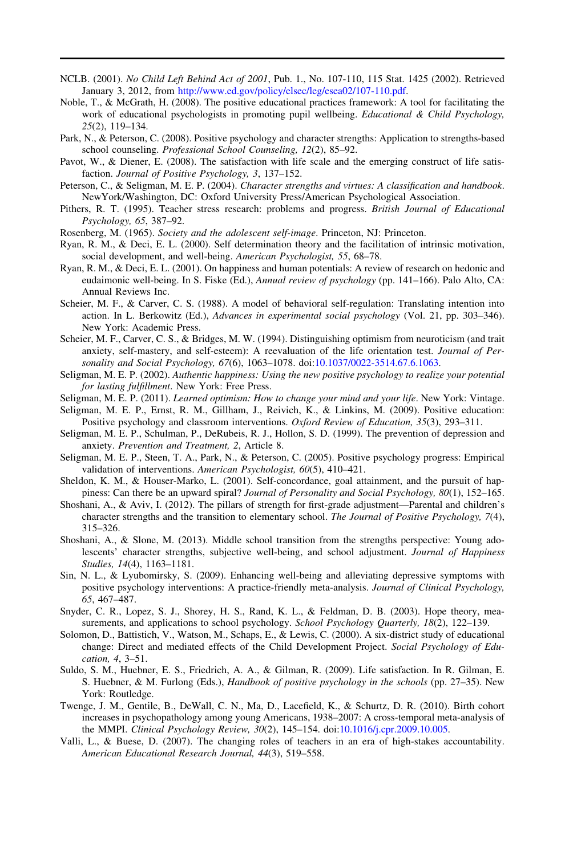- <span id="page-21-0"></span>NCLB. (2001). No Child Left Behind Act of 2001, Pub. 1., No. 107-110, 115 Stat. 1425 (2002). Retrieved January 3, 2012, from [http://www.ed.gov/policy/elsec/leg/esea02/107-110.pdf.](http://www.ed.gov/policy/elsec/leg/esea02/107-110.pdf)
- Noble, T., & McGrath, H. (2008). The positive educational practices framework: A tool for facilitating the work of educational psychologists in promoting pupil wellbeing. *Educational & Child Psychology*, 25(2), 119–134.
- Park, N., & Peterson, C. (2008). Positive psychology and character strengths: Application to strengths-based school counseling. Professional School Counseling, 12(2), 85–92.
- Pavot, W., & Diener, E. (2008). The satisfaction with life scale and the emerging construct of life satisfaction. Journal of Positive Psychology, 3, 137–152.
- Peterson, C., & Seligman, M. E. P. (2004). Character strengths and virtues: A classification and handbook. NewYork/Washington, DC: Oxford University Press/American Psychological Association.
- Pithers, R. T. (1995). Teacher stress research: problems and progress. British Journal of Educational Psychology, 65, 387–92.
- Rosenberg, M. (1965). Society and the adolescent self-image. Princeton, NJ: Princeton.
- Ryan, R. M., & Deci, E. L. (2000). Self determination theory and the facilitation of intrinsic motivation, social development, and well-being. American Psychologist, 55, 68–78.
- Ryan, R. M., & Deci, E. L. (2001). On happiness and human potentials: A review of research on hedonic and eudaimonic well-being. In S. Fiske (Ed.), Annual review of psychology (pp. 141-166). Palo Alto, CA: Annual Reviews Inc.
- Scheier, M. F., & Carver, C. S. (1988). A model of behavioral self-regulation: Translating intention into action. In L. Berkowitz (Ed.), Advances in experimental social psychology (Vol. 21, pp. 303–346). New York: Academic Press.
- Scheier, M. F., Carver, C. S., & Bridges, M. W. (1994). Distinguishing optimism from neuroticism (and trait anxiety, self-mastery, and self-esteem): A reevaluation of the life orientation test. Journal of Personality and Social Psychology, 67(6), 1063–1078. doi[:10.1037/0022-3514.67.6.1063](http://dx.doi.org/10.1037/0022-3514.67.6.1063).
- Seligman, M. E. P. (2002). Authentic happiness: Using the new positive psychology to realize your potential for lasting fulfillment. New York: Free Press.
- Seligman, M. E. P. (2011). Learned optimism: How to change your mind and your life. New York: Vintage.
- Seligman, M. E. P., Ernst, R. M., Gillham, J., Reivich, K., & Linkins, M. (2009). Positive education: Positive psychology and classroom interventions. Oxford Review of Education, 35(3), 293–311.
- Seligman, M. E. P., Schulman, P., DeRubeis, R. J., Hollon, S. D. (1999). The prevention of depression and anxiety. Prevention and Treatment, 2, Article 8.
- Seligman, M. E. P., Steen, T. A., Park, N., & Peterson, C. (2005). Positive psychology progress: Empirical validation of interventions. American Psychologist, 60(5), 410–421.
- Sheldon, K. M., & Houser-Marko, L. (2001). Self-concordance, goal attainment, and the pursuit of happiness: Can there be an upward spiral? Journal of Personality and Social Psychology, 80(1), 152–165.
- Shoshani, A., & Aviv, I. (2012). The pillars of strength for first-grade adjustment—Parental and children's character strengths and the transition to elementary school. The Journal of Positive Psychology, 7(4), 315–326.
- Shoshani, A., & Slone, M. (2013). Middle school transition from the strengths perspective: Young adolescents' character strengths, subjective well-being, and school adjustment. Journal of Happiness Studies, 14(4), 1163–1181.
- Sin, N. L., & Lyubomirsky, S. (2009). Enhancing well-being and alleviating depressive symptoms with positive psychology interventions: A practice-friendly meta-analysis. Journal of Clinical Psychology, 65, 467–487.
- Snyder, C. R., Lopez, S. J., Shorey, H. S., Rand, K. L., & Feldman, D. B. (2003). Hope theory, measurements, and applications to school psychology. School Psychology Quarterly, 18(2), 122–139.
- Solomon, D., Battistich, V., Watson, M., Schaps, E., & Lewis, C. (2000). A six-district study of educational change: Direct and mediated effects of the Child Development Project. Social Psychology of Education, 4, 3–51.
- Suldo, S. M., Huebner, E. S., Friedrich, A. A., & Gilman, R. (2009). Life satisfaction. In R. Gilman, E. S. Huebner, & M. Furlong (Eds.), Handbook of positive psychology in the schools (pp. 27–35). New York: Routledge.
- Twenge, J. M., Gentile, B., DeWall, C. N., Ma, D., Lacefield, K., & Schurtz, D. R. (2010). Birth cohort increases in psychopathology among young Americans, 1938–2007: A cross-temporal meta-analysis of the MMPI. Clinical Psychology Review, 30(2), 145–154. doi[:10.1016/j.cpr.2009.10.005](http://dx.doi.org/10.1016/j.cpr.2009.10.005).
- Valli, L., & Buese, D. (2007). The changing roles of teachers in an era of high-stakes accountability. American Educational Research Journal, 44(3), 519–558.